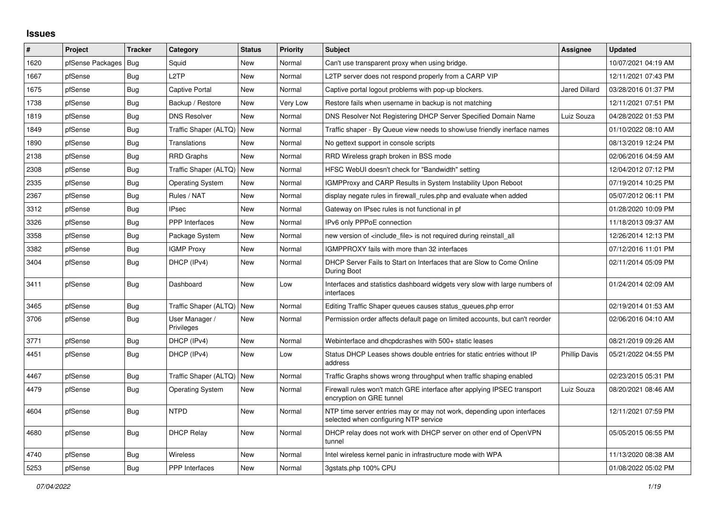## **Issues**

| $\vert$ # | Project          | <b>Tracker</b> | Category                     | <b>Status</b> | <b>Priority</b> | <b>Subject</b>                                                                                                  | Assignee             | <b>Updated</b>      |
|-----------|------------------|----------------|------------------------------|---------------|-----------------|-----------------------------------------------------------------------------------------------------------------|----------------------|---------------------|
| 1620      | pfSense Packages | Bug            | Squid                        | <b>New</b>    | Normal          | Can't use transparent proxy when using bridge.                                                                  |                      | 10/07/2021 04:19 AM |
| 1667      | pfSense          | Bug            | L <sub>2</sub> TP            | New           | Normal          | L2TP server does not respond properly from a CARP VIP                                                           |                      | 12/11/2021 07:43 PM |
| 1675      | pfSense          | Bug            | Captive Portal               | New           | Normal          | Captive portal logout problems with pop-up blockers.                                                            | Jared Dillard        | 03/28/2016 01:37 PM |
| 1738      | pfSense          | <b>Bug</b>     | Backup / Restore             | New           | Very Low        | Restore fails when username in backup is not matching                                                           |                      | 12/11/2021 07:51 PM |
| 1819      | pfSense          | <b>Bug</b>     | <b>DNS Resolver</b>          | New           | Normal          | DNS Resolver Not Registering DHCP Server Specified Domain Name                                                  | Luiz Souza           | 04/28/2022 01:53 PM |
| 1849      | pfSense          | <b>Bug</b>     | Traffic Shaper (ALTQ)   New  |               | Normal          | Traffic shaper - By Queue view needs to show/use friendly inerface names                                        |                      | 01/10/2022 08:10 AM |
| 1890      | pfSense          | Bug            | Translations                 | New           | Normal          | No gettext support in console scripts                                                                           |                      | 08/13/2019 12:24 PM |
| 2138      | pfSense          | <b>Bug</b>     | <b>RRD Graphs</b>            | <b>New</b>    | Normal          | RRD Wireless graph broken in BSS mode                                                                           |                      | 02/06/2016 04:59 AM |
| 2308      | pfSense          | <b>Bug</b>     | Traffic Shaper (ALTQ)        | New           | Normal          | HFSC WebUI doesn't check for "Bandwidth" setting                                                                |                      | 12/04/2012 07:12 PM |
| 2335      | pfSense          | <b>Bug</b>     | Operating System             | New           | Normal          | IGMPProxy and CARP Results in System Instability Upon Reboot                                                    |                      | 07/19/2014 10:25 PM |
| 2367      | pfSense          | <b>Bug</b>     | Rules / NAT                  | New           | Normal          | display negate rules in firewall rules php and evaluate when added                                              |                      | 05/07/2012 06:11 PM |
| 3312      | pfSense          | <b>Bug</b>     | <b>IPsec</b>                 | <b>New</b>    | Normal          | Gateway on IPsec rules is not functional in pf                                                                  |                      | 01/28/2020 10:09 PM |
| 3326      | pfSense          | Bug            | <b>PPP</b> Interfaces        | New           | Normal          | IPv6 only PPPoE connection                                                                                      |                      | 11/18/2013 09:37 AM |
| 3358      | pfSense          | <b>Bug</b>     | Package System               | New           | Normal          | new version of <include file=""> is not required during reinstall all</include>                                 |                      | 12/26/2014 12:13 PM |
| 3382      | pfSense          | <b>Bug</b>     | <b>IGMP Proxy</b>            | New           | Normal          | IGMPPROXY fails with more than 32 interfaces                                                                    |                      | 07/12/2016 11:01 PM |
| 3404      | pfSense          | Bug            | DHCP (IPv4)                  | New           | Normal          | DHCP Server Fails to Start on Interfaces that are Slow to Come Online<br>During Boot                            |                      | 02/11/2014 05:09 PM |
| 3411      | pfSense          | <b>Bug</b>     | Dashboard                    | <b>New</b>    | Low             | Interfaces and statistics dashboard widgets very slow with large numbers of<br>interfaces                       |                      | 01/24/2014 02:09 AM |
| 3465      | pfSense          | Bug            | Traffic Shaper (ALTQ)        | <b>New</b>    | Normal          | Editing Traffic Shaper queues causes status queues.php error                                                    |                      | 02/19/2014 01:53 AM |
| 3706      | pfSense          | <b>Bug</b>     | User Manager /<br>Privileges | New           | Normal          | Permission order affects default page on limited accounts, but can't reorder                                    |                      | 02/06/2016 04:10 AM |
| 3771      | pfSense          | <b>Bug</b>     | DHCP (IPv4)                  | <b>New</b>    | Normal          | Webinterface and dhcpdcrashes with 500+ static leases                                                           |                      | 08/21/2019 09:26 AM |
| 4451      | pfSense          | Bug            | DHCP (IPv4)                  | New           | Low             | Status DHCP Leases shows double entries for static entries without IP<br>address                                | <b>Phillip Davis</b> | 05/21/2022 04:55 PM |
| 4467      | pfSense          | <b>Bug</b>     | Traffic Shaper (ALTQ)        | <b>New</b>    | Normal          | Traffic Graphs shows wrong throughput when traffic shaping enabled                                              |                      | 02/23/2015 05:31 PM |
| 4479      | pfSense          | Bug            | <b>Operating System</b>      | New           | Normal          | Firewall rules won't match GRE interface after applying IPSEC transport<br>encryption on GRE tunnel             | Luiz Souza           | 08/20/2021 08:46 AM |
| 4604      | pfSense          | Bug            | <b>NTPD</b>                  | New           | Normal          | NTP time server entries may or may not work, depending upon interfaces<br>selected when configuring NTP service |                      | 12/11/2021 07:59 PM |
| 4680      | pfSense          | Bug            | <b>DHCP Relay</b>            | <b>New</b>    | Normal          | DHCP relay does not work with DHCP server on other end of OpenVPN<br>tunnel                                     |                      | 05/05/2015 06:55 PM |
| 4740      | pfSense          | <b>Bug</b>     | Wireless                     | New           | Normal          | Intel wireless kernel panic in infrastructure mode with WPA                                                     |                      | 11/13/2020 08:38 AM |
| 5253      | pfSense          | <b>Bug</b>     | PPP Interfaces               | New           | Normal          | 3gstats.php 100% CPU                                                                                            |                      | 01/08/2022 05:02 PM |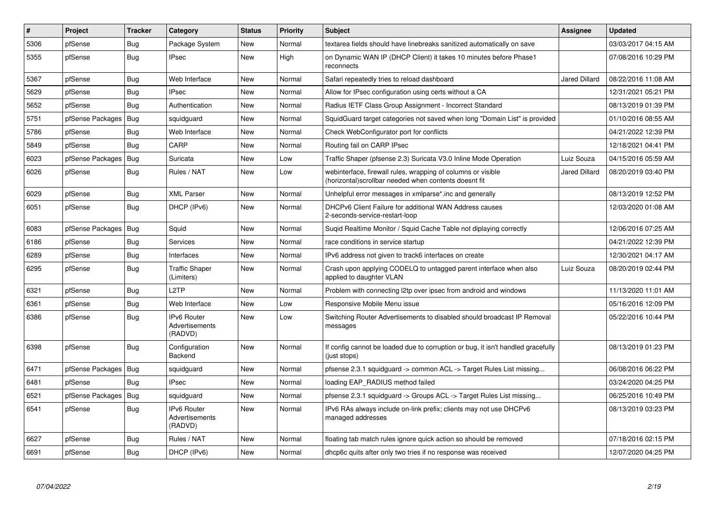| #    | Project          | <b>Tracker</b> | Category                                        | <b>Status</b> | <b>Priority</b> | <b>Subject</b>                                                                                                        | <b>Assignee</b>      | <b>Updated</b>      |
|------|------------------|----------------|-------------------------------------------------|---------------|-----------------|-----------------------------------------------------------------------------------------------------------------------|----------------------|---------------------|
| 5306 | pfSense          | Bug            | Package System                                  | New           | Normal          | textarea fields should have linebreaks sanitized automatically on save                                                |                      | 03/03/2017 04:15 AM |
| 5355 | pfSense          | Bug            | <b>IPsec</b>                                    | New           | High            | on Dynamic WAN IP (DHCP Client) it takes 10 minutes before Phase1<br>reconnects                                       |                      | 07/08/2016 10:29 PM |
| 5367 | pfSense          | Bug            | Web Interface                                   | <b>New</b>    | Normal          | Safari repeatedly tries to reload dashboard                                                                           | <b>Jared Dillard</b> | 08/22/2016 11:08 AM |
| 5629 | pfSense          | Bug            | <b>IPsec</b>                                    | <b>New</b>    | Normal          | Allow for IPsec configuration using certs without a CA                                                                |                      | 12/31/2021 05:21 PM |
| 5652 | pfSense          | Bug            | Authentication                                  | New           | Normal          | Radius IETF Class Group Assignment - Incorrect Standard                                                               |                      | 08/13/2019 01:39 PM |
| 5751 | pfSense Packages | Bug            | squidguard                                      | New           | Normal          | SquidGuard target categories not saved when long "Domain List" is provided                                            |                      | 01/10/2016 08:55 AM |
| 5786 | pfSense          | Bug            | Web Interface                                   | New           | Normal          | Check WebConfigurator port for conflicts                                                                              |                      | 04/21/2022 12:39 PM |
| 5849 | pfSense          | Bug            | CARP                                            | New           | Normal          | Routing fail on CARP IPsec                                                                                            |                      | 12/18/2021 04:41 PM |
| 6023 | pfSense Packages | <b>Bug</b>     | Suricata                                        | New           | Low             | Traffic Shaper (pfsense 2.3) Suricata V3.0 Inline Mode Operation                                                      | Luiz Souza           | 04/15/2016 05:59 AM |
| 6026 | pfSense          | Bug            | Rules / NAT                                     | New           | Low             | webinterface, firewall rules, wrapping of columns or visible<br>(horizontal)scrollbar needed when contents doesnt fit | <b>Jared Dillard</b> | 08/20/2019 03:40 PM |
| 6029 | pfSense          | <b>Bug</b>     | XML Parser                                      | New           | Normal          | Unhelpful error messages in xmlparse*.inc and generally                                                               |                      | 08/13/2019 12:52 PM |
| 6051 | pfSense          | Bug            | DHCP (IPv6)                                     | New           | Normal          | DHCPv6 Client Failure for additional WAN Address causes<br>2-seconds-service-restart-loop                             |                      | 12/03/2020 01:08 AM |
| 6083 | pfSense Packages | Bug            | Squid                                           | New           | Normal          | Sugid Realtime Monitor / Squid Cache Table not diplaying correctly                                                    |                      | 12/06/2016 07:25 AM |
| 6186 | pfSense          | Bug            | <b>Services</b>                                 | <b>New</b>    | Normal          | race conditions in service startup                                                                                    |                      | 04/21/2022 12:39 PM |
| 6289 | pfSense          | Bug            | Interfaces                                      | New           | Normal          | IPv6 address not given to track6 interfaces on create                                                                 |                      | 12/30/2021 04:17 AM |
| 6295 | pfSense          | <b>Bug</b>     | <b>Traffic Shaper</b><br>(Limiters)             | <b>New</b>    | Normal          | Crash upon applying CODELQ to untagged parent interface when also<br>applied to daughter VLAN                         | Luiz Souza           | 08/20/2019 02:44 PM |
| 6321 | pfSense          | <b>Bug</b>     | L2TP                                            | <b>New</b>    | Normal          | Problem with connecting I2tp over ipsec from android and windows                                                      |                      | 11/13/2020 11:01 AM |
| 6361 | pfSense          | Bug            | Web Interface                                   | New           | Low             | Responsive Mobile Menu issue                                                                                          |                      | 05/16/2016 12:09 PM |
| 6386 | pfSense          | <b>Bug</b>     | <b>IPv6 Router</b><br>Advertisements<br>(RADVD) | <b>New</b>    | Low             | Switching Router Advertisements to disabled should broadcast IP Removal<br>messages                                   |                      | 05/22/2016 10:44 PM |
| 6398 | pfSense          | <b>Bug</b>     | Configuration<br>Backend                        | New           | Normal          | If config cannot be loaded due to corruption or bug, it isn't handled gracefully<br>(just stops)                      |                      | 08/13/2019 01:23 PM |
| 6471 | pfSense Packages | <b>Bug</b>     | squidguard                                      | New           | Normal          | pfsense 2.3.1 squidguard -> common ACL -> Target Rules List missing                                                   |                      | 06/08/2016 06:22 PM |
| 6481 | pfSense          | Bug            | <b>IPsec</b>                                    | New           | Normal          | loading EAP RADIUS method failed                                                                                      |                      | 03/24/2020 04:25 PM |
| 6521 | pfSense Packages | Bug            | squidguard                                      | New           | Normal          | pfsense 2.3.1 squidguard -> Groups ACL -> Target Rules List missing                                                   |                      | 06/25/2016 10:49 PM |
| 6541 | pfSense          | Bug            | <b>IPv6 Router</b><br>Advertisements<br>(RADVD) | <b>New</b>    | Normal          | IPv6 RAs always include on-link prefix; clients may not use DHCPv6<br>managed addresses                               |                      | 08/13/2019 03:23 PM |
| 6627 | pfSense          | Bug            | Rules / NAT                                     | New           | Normal          | floating tab match rules ignore quick action so should be removed                                                     |                      | 07/18/2016 02:15 PM |
| 6691 | pfSense          | Bug            | DHCP (IPv6)                                     | New           | Normal          | dhcp6c quits after only two tries if no response was received                                                         |                      | 12/07/2020 04:25 PM |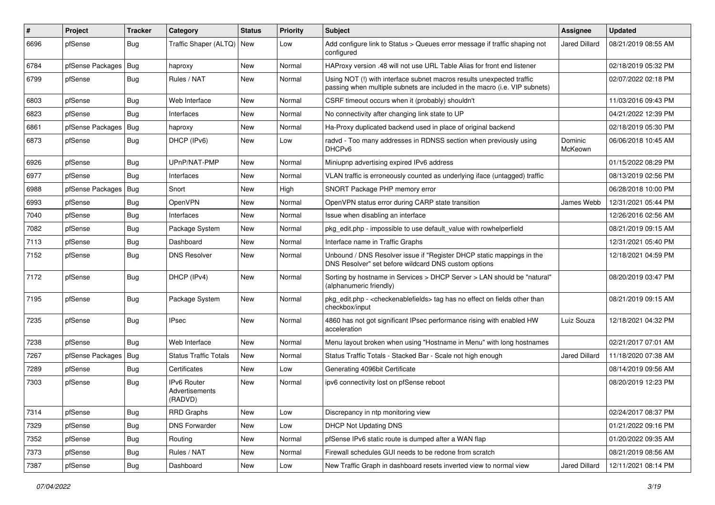| $\vert$ # | Project          | <b>Tracker</b> | Category                                 | <b>Status</b> | <b>Priority</b> | <b>Subject</b>                                                                                                                                      | <b>Assignee</b>      | <b>Updated</b>      |
|-----------|------------------|----------------|------------------------------------------|---------------|-----------------|-----------------------------------------------------------------------------------------------------------------------------------------------------|----------------------|---------------------|
| 6696      | pfSense          | Bug            | Traffic Shaper (ALTQ)   New              |               | Low             | Add configure link to Status > Queues error message if traffic shaping not<br>configured                                                            | Jared Dillard        | 08/21/2019 08:55 AM |
| 6784      | pfSense Packages | Bug            | haproxy                                  | New           | Normal          | HAProxy version .48 will not use URL Table Alias for front end listener                                                                             |                      | 02/18/2019 05:32 PM |
| 6799      | pfSense          | Bug            | Rules / NAT                              | New           | Normal          | Using NOT (!) with interface subnet macros results unexpected traffic<br>passing when multiple subnets are included in the macro (i.e. VIP subnets) |                      | 02/07/2022 02:18 PM |
| 6803      | pfSense          | Bug            | Web Interface                            | New           | Normal          | CSRF timeout occurs when it (probably) shouldn't                                                                                                    |                      | 11/03/2016 09:43 PM |
| 6823      | pfSense          | Bug            | Interfaces                               | New           | Normal          | No connectivity after changing link state to UP                                                                                                     |                      | 04/21/2022 12:39 PM |
| 6861      | pfSense Packages | Bug            | haproxy                                  | New           | Normal          | Ha-Proxy duplicated backend used in place of original backend                                                                                       |                      | 02/18/2019 05:30 PM |
| 6873      | pfSense          | Bug            | DHCP (IPv6)                              | New           | Low             | radvd - Too many addresses in RDNSS section when previously using<br>DHCP <sub>v6</sub>                                                             | Dominic<br>McKeown   | 06/06/2018 10:45 AM |
| 6926      | pfSense          | Bug            | UPnP/NAT-PMP                             | New           | Normal          | Miniupnp advertising expired IPv6 address                                                                                                           |                      | 01/15/2022 08:29 PM |
| 6977      | pfSense          | <b>Bug</b>     | Interfaces                               | New           | Normal          | VLAN traffic is erroneously counted as underlying iface (untagged) traffic                                                                          |                      | 08/13/2019 02:56 PM |
| 6988      | pfSense Packages | Bug            | Snort                                    | New           | High            | SNORT Package PHP memory error                                                                                                                      |                      | 06/28/2018 10:00 PM |
| 6993      | pfSense          | <b>Bug</b>     | OpenVPN                                  | New           | Normal          | OpenVPN status error during CARP state transition                                                                                                   | James Webb           | 12/31/2021 05:44 PM |
| 7040      | pfSense          | Bug            | Interfaces                               | New           | Normal          | Issue when disabling an interface                                                                                                                   |                      | 12/26/2016 02:56 AM |
| 7082      | pfSense          | <b>Bug</b>     | Package System                           | New           | Normal          | pkg edit.php - impossible to use default value with rowhelperfield                                                                                  |                      | 08/21/2019 09:15 AM |
| 7113      | pfSense          | Bug            | Dashboard                                | New           | Normal          | Interface name in Traffic Graphs                                                                                                                    |                      | 12/31/2021 05:40 PM |
| 7152      | pfSense          | Bug            | <b>DNS Resolver</b>                      | New           | Normal          | Unbound / DNS Resolver issue if "Register DHCP static mappings in the<br>DNS Resolver" set before wildcard DNS custom options                       |                      | 12/18/2021 04:59 PM |
| 7172      | pfSense          | Bug            | DHCP (IPv4)                              | New           | Normal          | Sorting by hostname in Services > DHCP Server > LAN should be "natural"<br>(alphanumeric friendly)                                                  |                      | 08/20/2019 03:47 PM |
| 7195      | pfSense          | Bug            | Package System                           | <b>New</b>    | Normal          | pkg_edit.php - <checkenablefields> tag has no effect on fields other than<br/>checkbox/input</checkenablefields>                                    |                      | 08/21/2019 09:15 AM |
| 7235      | pfSense          | Bug            | <b>IPsec</b>                             | New           | Normal          | 4860 has not got significant IPsec performance rising with enabled HW<br>acceleration                                                               | Luiz Souza           | 12/18/2021 04:32 PM |
| 7238      | pfSense          | Bug            | Web Interface                            | New           | Normal          | Menu layout broken when using "Hostname in Menu" with long hostnames                                                                                |                      | 02/21/2017 07:01 AM |
| 7267      | pfSense Packages | Bug            | <b>Status Traffic Totals</b>             | New           | Normal          | Status Traffic Totals - Stacked Bar - Scale not high enough                                                                                         | <b>Jared Dillard</b> | 11/18/2020 07:38 AM |
| 7289      | pfSense          | <b>Bug</b>     | Certificates                             | New           | Low             | Generating 4096bit Certificate                                                                                                                      |                      | 08/14/2019 09:56 AM |
| 7303      | pfSense          | <b>Bug</b>     | IPv6 Router<br>Advertisements<br>(RADVD) | New           | Normal          | ipv6 connectivity lost on pfSense reboot                                                                                                            |                      | 08/20/2019 12:23 PM |
| 7314      | pfSense          | Bug            | <b>RRD Graphs</b>                        | New           | Low             | Discrepancy in ntp monitoring view                                                                                                                  |                      | 02/24/2017 08:37 PM |
| 7329      | pfSense          | <b>Bug</b>     | <b>DNS Forwarder</b>                     | <b>New</b>    | Low             | DHCP Not Updating DNS                                                                                                                               |                      | 01/21/2022 09:16 PM |
| 7352      | pfSense          | <b>Bug</b>     | Routing                                  | New           | Normal          | pfSense IPv6 static route is dumped after a WAN flap                                                                                                |                      | 01/20/2022 09:35 AM |
| 7373      | pfSense          | Bug            | Rules / NAT                              | New           | Normal          | Firewall schedules GUI needs to be redone from scratch                                                                                              |                      | 08/21/2019 08:56 AM |
| 7387      | pfSense          | Bug            | Dashboard                                | New           | Low             | New Traffic Graph in dashboard resets inverted view to normal view                                                                                  | Jared Dillard        | 12/11/2021 08:14 PM |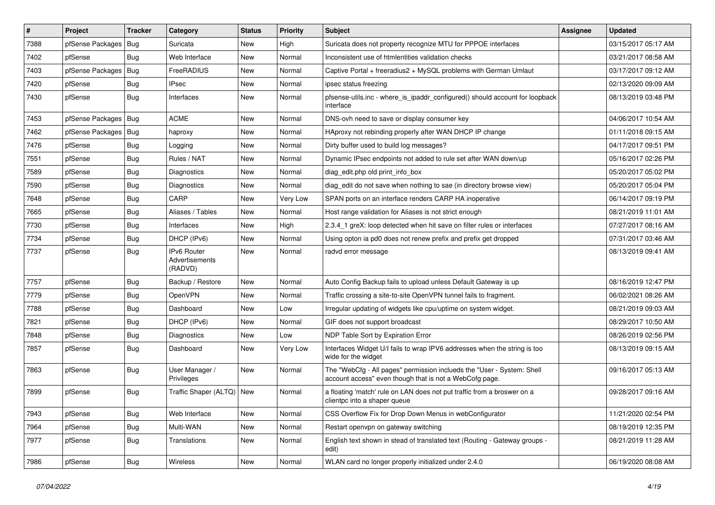| $\vert$ # | Project                | <b>Tracker</b> | Category                                 | <b>Status</b> | <b>Priority</b> | <b>Subject</b>                                                                                                                    | Assignee | <b>Updated</b>      |
|-----------|------------------------|----------------|------------------------------------------|---------------|-----------------|-----------------------------------------------------------------------------------------------------------------------------------|----------|---------------------|
| 7388      | pfSense Packages   Bug |                | Suricata                                 | New           | High            | Suricata does not property recognize MTU for PPPOE interfaces                                                                     |          | 03/15/2017 05:17 AM |
| 7402      | pfSense                | Bug            | Web Interface                            | New           | Normal          | Inconsistent use of htmlentities validation checks                                                                                |          | 03/21/2017 08:58 AM |
| 7403      | pfSense Packages   Bug |                | FreeRADIUS                               | New           | Normal          | Captive Portal + freeradius2 + MySQL problems with German Umlaut                                                                  |          | 03/17/2017 09:12 AM |
| 7420      | pfSense                | Bug            | <b>IPsec</b>                             | New           | Normal          | ipsec status freezing                                                                                                             |          | 02/13/2020 09:09 AM |
| 7430      | pfSense                | Bug            | Interfaces                               | New           | Normal          | pfsense-utils.inc - where is ipaddr configured() should account for loopback<br>interface                                         |          | 08/13/2019 03:48 PM |
| 7453      | pfSense Packages   Bug |                | <b>ACME</b>                              | New           | Normal          | DNS-ovh need to save or display consumer key                                                                                      |          | 04/06/2017 10:54 AM |
| 7462      | pfSense Packages       | Bug            | haproxy                                  | New           | Normal          | HAproxy not rebinding properly after WAN DHCP IP change                                                                           |          | 01/11/2018 09:15 AM |
| 7476      | pfSense                | Bug            | Logging                                  | New           | Normal          | Dirty buffer used to build log messages?                                                                                          |          | 04/17/2017 09:51 PM |
| 7551      | pfSense                | <b>Bug</b>     | Rules / NAT                              | New           | Normal          | Dynamic IPsec endpoints not added to rule set after WAN down/up                                                                   |          | 05/16/2017 02:26 PM |
| 7589      | pfSense                | Bug            | Diagnostics                              | New           | Normal          | diag edit.php old print info box                                                                                                  |          | 05/20/2017 05:02 PM |
| 7590      | pfSense                | Bug            | <b>Diagnostics</b>                       | New           | Normal          | diag_edit do not save when nothing to sae (in directory browse view)                                                              |          | 05/20/2017 05:04 PM |
| 7648      | pfSense                | Bug            | CARP                                     | <b>New</b>    | Very Low        | SPAN ports on an interface renders CARP HA inoperative                                                                            |          | 06/14/2017 09:19 PM |
| 7665      | pfSense                | Bug            | Aliases / Tables                         | New           | Normal          | Host range validation for Aliases is not strict enough                                                                            |          | 08/21/2019 11:01 AM |
| 7730      | pfSense                | Bug            | Interfaces                               | New           | High            | 2.3.4_1 greX: loop detected when hit save on filter rules or interfaces                                                           |          | 07/27/2017 08:16 AM |
| 7734      | pfSense                | Bug            | DHCP (IPv6)                              | New           | Normal          | Using opton ia pd0 does not renew prefix and prefix get dropped                                                                   |          | 07/31/2017 03:46 AM |
| 7737      | pfSense                | <b>Bug</b>     | IPv6 Router<br>Advertisements<br>(RADVD) | New           | Normal          | radvd error message                                                                                                               |          | 08/13/2019 09:41 AM |
| 7757      | pfSense                | Bug            | Backup / Restore                         | <b>New</b>    | Normal          | Auto Config Backup fails to upload unless Default Gateway is up                                                                   |          | 08/16/2019 12:47 PM |
| 7779      | pfSense                | Bug            | OpenVPN                                  | <b>New</b>    | Normal          | Traffic crossing a site-to-site OpenVPN tunnel fails to fragment.                                                                 |          | 06/02/2021 08:26 AM |
| 7788      | pfSense                | Bug            | Dashboard                                | New           | Low             | Irregular updating of widgets like cpu/uptime on system widget.                                                                   |          | 08/21/2019 09:03 AM |
| 7821      | pfSense                | Bug            | DHCP (IPv6)                              | New           | Normal          | GIF does not support broadcast                                                                                                    |          | 08/29/2017 10:50 AM |
| 7848      | pfSense                | Bug            | <b>Diagnostics</b>                       | New           | Low             | NDP Table Sort by Expiration Error                                                                                                |          | 08/26/2019 02:56 PM |
| 7857      | pfSense                | Bug            | Dashboard                                | New           | Very Low        | Interfaces Widget U/I fails to wrap IPV6 addresses when the string is too<br>wide for the widget                                  |          | 08/13/2019 09:15 AM |
| 7863      | pfSense                | Bug            | User Manager /<br>Privileges             | New           | Normal          | The "WebCfg - All pages" permission inclueds the "User - System: Shell<br>account access" even though that is not a WebCofg page. |          | 09/16/2017 05:13 AM |
| 7899      | pfSense                | <b>Bug</b>     | Traffic Shaper (ALTQ)                    | New           | Normal          | a floating 'match' rule on LAN does not put traffic from a broswer on a<br>clientpc into a shaper queue                           |          | 09/28/2017 09:16 AM |
| 7943      | pfSense                | <b>Bug</b>     | Web Interface                            | New           | Normal          | CSS Overflow Fix for Drop Down Menus in webConfigurator                                                                           |          | 11/21/2020 02:54 PM |
| 7964      | pfSense                | <b>Bug</b>     | Multi-WAN                                | New           | Normal          | Restart openvpn on gateway switching                                                                                              |          | 08/19/2019 12:35 PM |
| 7977      | pfSense                | <b>Bug</b>     | Translations                             | New           | Normal          | English text shown in stead of translated text (Routing - Gateway groups -<br>edit)                                               |          | 08/21/2019 11:28 AM |
| 7986      | pfSense                | <b>Bug</b>     | Wireless                                 | New           | Normal          | WLAN card no longer properly initialized under 2.4.0                                                                              |          | 06/19/2020 08:08 AM |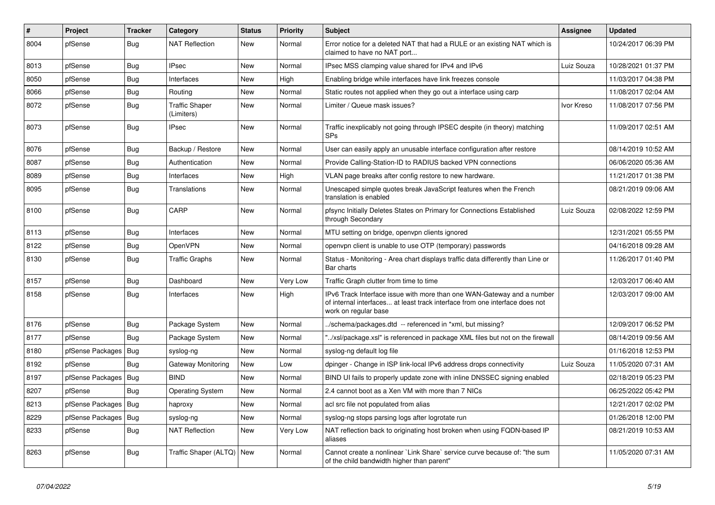| $\vert$ # | Project          | <b>Tracker</b> | Category                            | <b>Status</b> | <b>Priority</b> | <b>Subject</b>                                                                                                                                                                | <b>Assignee</b> | <b>Updated</b>      |
|-----------|------------------|----------------|-------------------------------------|---------------|-----------------|-------------------------------------------------------------------------------------------------------------------------------------------------------------------------------|-----------------|---------------------|
| 8004      | pfSense          | Bug            | <b>NAT Reflection</b>               | New           | Normal          | Error notice for a deleted NAT that had a RULE or an existing NAT which is<br>claimed to have no NAT port                                                                     |                 | 10/24/2017 06:39 PM |
| 8013      | pfSense          | <b>Bug</b>     | <b>IPsec</b>                        | New           | Normal          | IPsec MSS clamping value shared for IPv4 and IPv6                                                                                                                             | Luiz Souza      | 10/28/2021 01:37 PM |
| 8050      | pfSense          | Bug            | Interfaces                          | New           | High            | Enabling bridge while interfaces have link freezes console                                                                                                                    |                 | 11/03/2017 04:38 PM |
| 8066      | pfSense          | <b>Bug</b>     | Routing                             | New           | Normal          | Static routes not applied when they go out a interface using carp                                                                                                             |                 | 11/08/2017 02:04 AM |
| 8072      | pfSense          | <b>Bug</b>     | <b>Traffic Shaper</b><br>(Limiters) | New           | Normal          | Limiter / Queue mask issues?                                                                                                                                                  | Ivor Kreso      | 11/08/2017 07:56 PM |
| 8073      | pfSense          | Bug            | <b>IPsec</b>                        | New           | Normal          | Traffic inexplicably not going through IPSEC despite (in theory) matching<br><b>SPs</b>                                                                                       |                 | 11/09/2017 02:51 AM |
| 8076      | pfSense          | Bug            | Backup / Restore                    | New           | Normal          | User can easily apply an unusable interface configuration after restore                                                                                                       |                 | 08/14/2019 10:52 AM |
| 8087      | pfSense          | Bug            | Authentication                      | New           | Normal          | Provide Calling-Station-ID to RADIUS backed VPN connections                                                                                                                   |                 | 06/06/2020 05:36 AM |
| 8089      | pfSense          | <b>Bug</b>     | Interfaces                          | New           | High            | VLAN page breaks after config restore to new hardware.                                                                                                                        |                 | 11/21/2017 01:38 PM |
| 8095      | pfSense          | <b>Bug</b>     | <b>Translations</b>                 | New           | Normal          | Unescaped simple quotes break JavaScript features when the French<br>translation is enabled                                                                                   |                 | 08/21/2019 09:06 AM |
| 8100      | pfSense          | <b>Bug</b>     | CARP                                | New           | Normal          | pfsync Initially Deletes States on Primary for Connections Established<br>through Secondary                                                                                   | Luiz Souza      | 02/08/2022 12:59 PM |
| 8113      | pfSense          | <b>Bug</b>     | Interfaces                          | <b>New</b>    | Normal          | MTU setting on bridge, openvpn clients ignored                                                                                                                                |                 | 12/31/2021 05:55 PM |
| 8122      | pfSense          | Bug            | OpenVPN                             | <b>New</b>    | Normal          | openypn client is unable to use OTP (temporary) passwords                                                                                                                     |                 | 04/16/2018 09:28 AM |
| 8130      | pfSense          | <b>Bug</b>     | <b>Traffic Graphs</b>               | New           | Normal          | Status - Monitoring - Area chart displays traffic data differently than Line or<br>Bar charts                                                                                 |                 | 11/26/2017 01:40 PM |
| 8157      | pfSense          | <b>Bug</b>     | Dashboard                           | New           | Very Low        | Traffic Graph clutter from time to time                                                                                                                                       |                 | 12/03/2017 06:40 AM |
| 8158      | pfSense          | <b>Bug</b>     | Interfaces                          | New           | High            | IPv6 Track Interface issue with more than one WAN-Gateway and a number<br>of internal interfaces at least track interface from one interface does not<br>work on regular base |                 | 12/03/2017 09:00 AM |
| 8176      | pfSense          | Bug            | Package System                      | New           | Normal          | ./schema/packages.dtd -- referenced in *xml, but missing?                                                                                                                     |                 | 12/09/2017 06:52 PM |
| 8177      | pfSense          | Bug            | Package System                      | New           | Normal          | '/xsl/package.xsl" is referenced in package XML files but not on the firewall                                                                                                 |                 | 08/14/2019 09:56 AM |
| 8180      | pfSense Packages | <b>Bug</b>     | syslog-ng                           | <b>New</b>    | Normal          | syslog-ng default log file                                                                                                                                                    |                 | 01/16/2018 12:53 PM |
| 8192      | pfSense          | Bug            | Gateway Monitoring                  | New           | Low             | dpinger - Change in ISP link-local IPv6 address drops connectivity                                                                                                            | Luiz Souza      | 11/05/2020 07:31 AM |
| 8197      | pfSense Packages | <b>Bug</b>     | <b>BIND</b>                         | New           | Normal          | BIND UI fails to properly update zone with inline DNSSEC signing enabled                                                                                                      |                 | 02/18/2019 05:23 PM |
| 8207      | pfSense          | Bug            | <b>Operating System</b>             | New           | Normal          | 2.4 cannot boot as a Xen VM with more than 7 NICs                                                                                                                             |                 | 06/25/2022 05:42 PM |
| 8213      | pfSense Packages | Bug            | haproxy                             | New           | Normal          | acl src file not populated from alias                                                                                                                                         |                 | 12/21/2017 02:02 PM |
| 8229      | pfSense Packages | <b>Bug</b>     | syslog-ng                           | New           | Normal          | syslog-ng stops parsing logs after logrotate run                                                                                                                              |                 | 01/26/2018 12:00 PM |
| 8233      | pfSense          | <b>Bug</b>     | <b>NAT Reflection</b>               | New           | Very Low        | NAT reflection back to originating host broken when using FQDN-based IP<br>aliases                                                                                            |                 | 08/21/2019 10:53 AM |
| 8263      | pfSense          | <b>Bug</b>     | Traffic Shaper (ALTQ)   New         |               | Normal          | Cannot create a nonlinear `Link Share` service curve because of: "the sum<br>of the child bandwidth higher than parent"                                                       |                 | 11/05/2020 07:31 AM |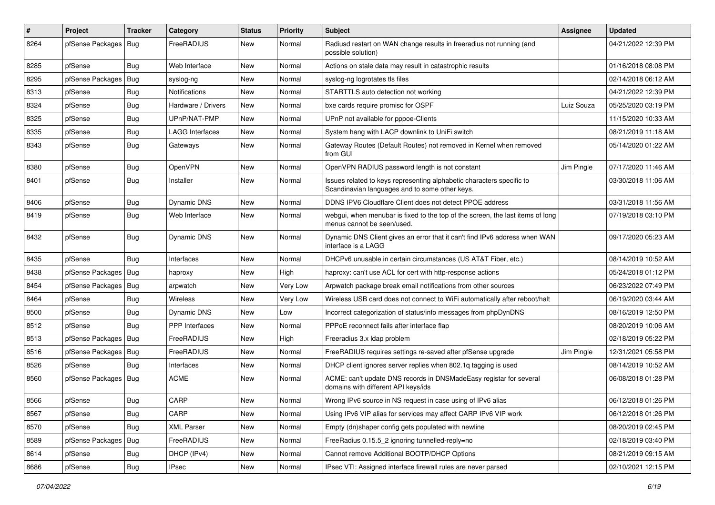| $\vert$ # | Project                | <b>Tracker</b> | Category               | <b>Status</b> | <b>Priority</b> | <b>Subject</b>                                                                                                          | Assignee   | <b>Updated</b>      |
|-----------|------------------------|----------------|------------------------|---------------|-----------------|-------------------------------------------------------------------------------------------------------------------------|------------|---------------------|
| 8264      | pfSense Packages       | Bug            | FreeRADIUS             | New           | Normal          | Radiusd restart on WAN change results in freeradius not running (and<br>possible solution)                              |            | 04/21/2022 12:39 PM |
| 8285      | pfSense                | <b>Bug</b>     | Web Interface          | New           | Normal          | Actions on stale data may result in catastrophic results                                                                |            | 01/16/2018 08:08 PM |
| 8295      | pfSense Packages   Bug |                | syslog-ng              | New           | Normal          | syslog-ng logrotates tls files                                                                                          |            | 02/14/2018 06:12 AM |
| 8313      | pfSense                | <b>Bug</b>     | <b>Notifications</b>   | New           | Normal          | STARTTLS auto detection not working                                                                                     |            | 04/21/2022 12:39 PM |
| 8324      | pfSense                | <b>Bug</b>     | Hardware / Drivers     | New           | Normal          | bxe cards require promisc for OSPF                                                                                      | Luiz Souza | 05/25/2020 03:19 PM |
| 8325      | pfSense                | <b>Bug</b>     | UPnP/NAT-PMP           | <b>New</b>    | Normal          | UPnP not available for pppoe-Clients                                                                                    |            | 11/15/2020 10:33 AM |
| 8335      | pfSense                | <b>Bug</b>     | <b>LAGG Interfaces</b> | New           | Normal          | System hang with LACP downlink to UniFi switch                                                                          |            | 08/21/2019 11:18 AM |
| 8343      | pfSense                | Bug            | Gateways               | New           | Normal          | Gateway Routes (Default Routes) not removed in Kernel when removed<br>from GUI                                          |            | 05/14/2020 01:22 AM |
| 8380      | pfSense                | Bug            | <b>OpenVPN</b>         | New           | Normal          | OpenVPN RADIUS password length is not constant                                                                          | Jim Pingle | 07/17/2020 11:46 AM |
| 8401      | pfSense                | Bug            | Installer              | New           | Normal          | Issues related to keys representing alphabetic characters specific to<br>Scandinavian languages and to some other keys. |            | 03/30/2018 11:06 AM |
| 8406      | pfSense                | <b>Bug</b>     | Dynamic DNS            | New           | Normal          | DDNS IPV6 Cloudflare Client does not detect PPOE address                                                                |            | 03/31/2018 11:56 AM |
| 8419      | pfSense                | Bug            | Web Interface          | New           | Normal          | webgui, when menubar is fixed to the top of the screen, the last items of long<br>menus cannot be seen/used.            |            | 07/19/2018 03:10 PM |
| 8432      | pfSense                | Bug            | Dynamic DNS            | New           | Normal          | Dynamic DNS Client gives an error that it can't find IPv6 address when WAN<br>interface is a LAGG                       |            | 09/17/2020 05:23 AM |
| 8435      | pfSense                | Bug            | Interfaces             | New           | Normal          | DHCPv6 unusable in certain circumstances (US AT&T Fiber, etc.)                                                          |            | 08/14/2019 10:52 AM |
| 8438      | pfSense Packages   Bug |                | haproxy                | New           | High            | haproxy: can't use ACL for cert with http-response actions                                                              |            | 05/24/2018 01:12 PM |
| 8454      | pfSense Packages       | Bug            | arpwatch               | <b>New</b>    | Very Low        | Arpwatch package break email notifications from other sources                                                           |            | 06/23/2022 07:49 PM |
| 8464      | pfSense                | <b>Bug</b>     | <b>Wireless</b>        | New           | Very Low        | Wireless USB card does not connect to WiFi automatically after reboot/halt                                              |            | 06/19/2020 03:44 AM |
| 8500      | pfSense                | Bug            | Dynamic DNS            | New           | Low             | Incorrect categorization of status/info messages from phpDynDNS                                                         |            | 08/16/2019 12:50 PM |
| 8512      | pfSense                | <b>Bug</b>     | <b>PPP</b> Interfaces  | New           | Normal          | PPPoE reconnect fails after interface flap                                                                              |            | 08/20/2019 10:06 AM |
| 8513      | pfSense Packages       | Bug            | FreeRADIUS             | New           | High            | Freeradius 3.x Idap problem                                                                                             |            | 02/18/2019 05:22 PM |
| 8516      | pfSense Packages       | Bug            | FreeRADIUS             | New           | Normal          | FreeRADIUS requires settings re-saved after pfSense upgrade                                                             | Jim Pingle | 12/31/2021 05:58 PM |
| 8526      | pfSense                | <b>Bug</b>     | Interfaces             | New           | Normal          | DHCP client ignores server replies when 802.1q tagging is used                                                          |            | 08/14/2019 10:52 AM |
| 8560      | pfSense Packages   Bug |                | <b>ACME</b>            | New           | Normal          | ACME: can't update DNS records in DNSMadeEasy registar for several<br>domains with different API keys/ids               |            | 06/08/2018 01:28 PM |
| 8566      | pfSense                | Bug            | CARP                   | <b>New</b>    | Normal          | Wrong IPv6 source in NS request in case using of IPv6 alias                                                             |            | 06/12/2018 01:26 PM |
| 8567      | pfSense                | Bug            | CARP                   | <b>New</b>    | Normal          | Using IPv6 VIP alias for services may affect CARP IPv6 VIP work                                                         |            | 06/12/2018 01:26 PM |
| 8570      | pfSense                | <b>Bug</b>     | <b>XML Parser</b>      | New           | Normal          | Empty (dn)shaper config gets populated with newline                                                                     |            | 08/20/2019 02:45 PM |
| 8589      | pfSense Packages       | Bug            | FreeRADIUS             | New           | Normal          | FreeRadius 0.15.5_2 ignoring tunnelled-reply=no                                                                         |            | 02/18/2019 03:40 PM |
| 8614      | pfSense                | <b>Bug</b>     | DHCP (IPv4)            | New           | Normal          | Cannot remove Additional BOOTP/DHCP Options                                                                             |            | 08/21/2019 09:15 AM |
| 8686      | pfSense                | Bug            | IPsec                  | New           | Normal          | IPsec VTI: Assigned interface firewall rules are never parsed                                                           |            | 02/10/2021 12:15 PM |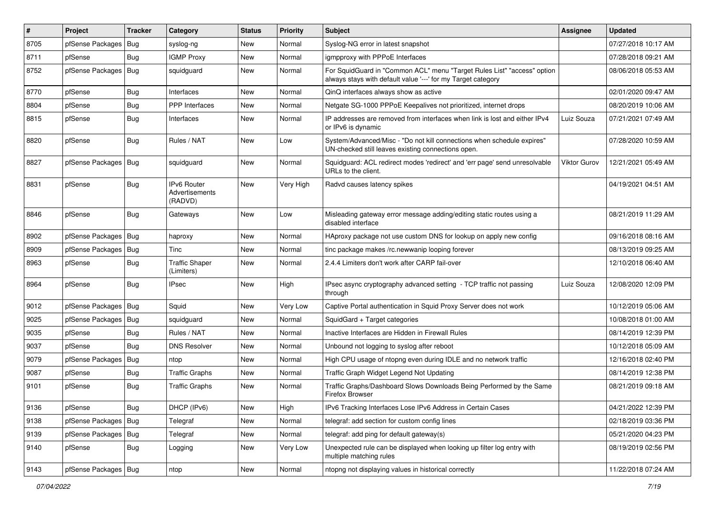| $\vert$ # | Project                | <b>Tracker</b> | Category                                        | <b>Status</b> | <b>Priority</b> | <b>Subject</b>                                                                                                                          | Assignee            | <b>Updated</b>      |
|-----------|------------------------|----------------|-------------------------------------------------|---------------|-----------------|-----------------------------------------------------------------------------------------------------------------------------------------|---------------------|---------------------|
| 8705      | pfSense Packages       | Bug            | syslog-ng                                       | New           | Normal          | Syslog-NG error in latest snapshot                                                                                                      |                     | 07/27/2018 10:17 AM |
| 8711      | pfSense                | Bug            | <b>IGMP Proxy</b>                               | <b>New</b>    | Normal          | igmpproxy with PPPoE Interfaces                                                                                                         |                     | 07/28/2018 09:21 AM |
| 8752      | pfSense Packages       | <b>Bug</b>     | squidguard                                      | New           | Normal          | For SquidGuard in "Common ACL" menu "Target Rules List" "access" option<br>always stays with default value '---' for my Target category |                     | 08/06/2018 05:53 AM |
| 8770      | pfSense                | Bug            | Interfaces                                      | <b>New</b>    | Normal          | QinQ interfaces always show as active                                                                                                   |                     | 02/01/2020 09:47 AM |
| 8804      | pfSense                | <b>Bug</b>     | <b>PPP</b> Interfaces                           | New           | Normal          | Netgate SG-1000 PPPoE Keepalives not prioritized, internet drops                                                                        |                     | 08/20/2019 10:06 AM |
| 8815      | pfSense                | Bug            | Interfaces                                      | New           | Normal          | IP addresses are removed from interfaces when link is lost and either IPv4<br>or IPv6 is dynamic                                        | Luiz Souza          | 07/21/2021 07:49 AM |
| 8820      | pfSense                | Bug            | Rules / NAT                                     | New           | Low             | System/Advanced/Misc - "Do not kill connections when schedule expires"<br>UN-checked still leaves existing connections open.            |                     | 07/28/2020 10:59 AM |
| 8827      | pfSense Packages       | Bug            | squidguard                                      | <b>New</b>    | Normal          | Squidguard: ACL redirect modes 'redirect' and 'err page' send unresolvable<br>URLs to the client.                                       | <b>Viktor Gurov</b> | 12/21/2021 05:49 AM |
| 8831      | pfSense                | <b>Bug</b>     | <b>IPv6 Router</b><br>Advertisements<br>(RADVD) | New           | Very High       | Radvd causes latency spikes                                                                                                             |                     | 04/19/2021 04:51 AM |
| 8846      | pfSense                | Bug            | Gateways                                        | New           | Low             | Misleading gateway error message adding/editing static routes using a<br>disabled interface                                             |                     | 08/21/2019 11:29 AM |
| 8902      | pfSense Packages   Bug |                | haproxy                                         | New           | Normal          | HAproxy package not use custom DNS for lookup on apply new config                                                                       |                     | 09/16/2018 08:16 AM |
| 8909      | pfSense Packages       | Bug            | Tinc                                            | <b>New</b>    | Normal          | tinc package makes /rc.newwanip looping forever                                                                                         |                     | 08/13/2019 09:25 AM |
| 8963      | pfSense                | <b>Bug</b>     | <b>Traffic Shaper</b><br>(Limiters)             | <b>New</b>    | Normal          | 2.4.4 Limiters don't work after CARP fail-over                                                                                          |                     | 12/10/2018 06:40 AM |
| 8964      | pfSense                | <b>Bug</b>     | <b>IPsec</b>                                    | New           | High            | IPsec async cryptography advanced setting - TCP traffic not passing<br>through                                                          | Luiz Souza          | 12/08/2020 12:09 PM |
| 9012      | pfSense Packages       | Bug            | Squid                                           | <b>New</b>    | Very Low        | Captive Portal authentication in Squid Proxy Server does not work                                                                       |                     | 10/12/2019 05:06 AM |
| 9025      | pfSense Packages       | <b>Bug</b>     | squidguard                                      | New           | Normal          | SquidGard + Target categories                                                                                                           |                     | 10/08/2018 01:00 AM |
| 9035      | pfSense                | <b>Bug</b>     | Rules / NAT                                     | New           | Normal          | Inactive Interfaces are Hidden in Firewall Rules                                                                                        |                     | 08/14/2019 12:39 PM |
| 9037      | pfSense                | <b>Bug</b>     | <b>DNS Resolver</b>                             | <b>New</b>    | Normal          | Unbound not logging to syslog after reboot                                                                                              |                     | 10/12/2018 05:09 AM |
| 9079      | pfSense Packages       | <b>Bug</b>     | ntop                                            | New           | Normal          | High CPU usage of ntopng even during IDLE and no network traffic                                                                        |                     | 12/16/2018 02:40 PM |
| 9087      | pfSense                | Bug            | <b>Traffic Graphs</b>                           | New           | Normal          | Traffic Graph Widget Legend Not Updating                                                                                                |                     | 08/14/2019 12:38 PM |
| 9101      | pfSense                | Bug            | <b>Traffic Graphs</b>                           | <b>New</b>    | Normal          | Traffic Graphs/Dashboard Slows Downloads Being Performed by the Same<br>Firefox Browser                                                 |                     | 08/21/2019 09:18 AM |
| 9136      | pfSense                | <b>Bug</b>     | DHCP (IPv6)                                     | <b>New</b>    | High            | IPv6 Tracking Interfaces Lose IPv6 Address in Certain Cases                                                                             |                     | 04/21/2022 12:39 PM |
| 9138      | pfSense Packages       | <b>Bug</b>     | Telegraf                                        | New           | Normal          | telegraf: add section for custom config lines                                                                                           |                     | 02/18/2019 03:36 PM |
| 9139      | pfSense Packages   Bug |                | Telegraf                                        | New           | Normal          | telegraf: add ping for default gateway(s)                                                                                               |                     | 05/21/2020 04:23 PM |
| 9140      | pfSense                | <b>Bug</b>     | Logging                                         | <b>New</b>    | Very Low        | Unexpected rule can be displayed when looking up filter log entry with<br>multiple matching rules                                       |                     | 08/19/2019 02:56 PM |
| 9143      | pfSense Packages   Bug |                | ntop                                            | New           | Normal          | ntopng not displaying values in historical correctly                                                                                    |                     | 11/22/2018 07:24 AM |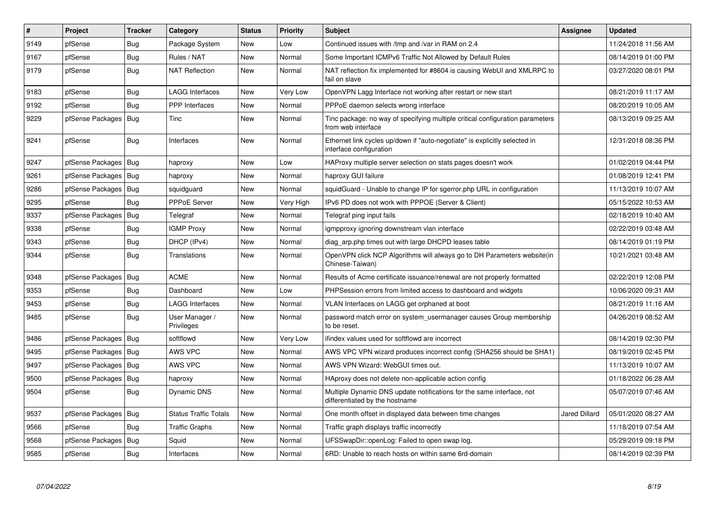| #    | Project          | <b>Tracker</b> | Category                     | <b>Status</b> | <b>Priority</b> | <b>Subject</b>                                                                                          | <b>Assignee</b>      | <b>Updated</b>      |
|------|------------------|----------------|------------------------------|---------------|-----------------|---------------------------------------------------------------------------------------------------------|----------------------|---------------------|
| 9149 | pfSense          | Bug            | Package System               | New           | Low             | Continued issues with /tmp and /var in RAM on 2.4                                                       |                      | 11/24/2018 11:56 AM |
| 9167 | pfSense          | <b>Bug</b>     | Rules / NAT                  | <b>New</b>    | Normal          | Some Important ICMPv6 Traffic Not Allowed by Default Rules                                              |                      | 08/14/2019 01:00 PM |
| 9179 | pfSense          | <b>Bug</b>     | NAT Reflection               | New           | Normal          | NAT reflection fix implemented for #8604 is causing WebUI and XMLRPC to<br>fail on slave                |                      | 03/27/2020 08:01 PM |
| 9183 | pfSense          | Bug            | <b>LAGG Interfaces</b>       | New           | Very Low        | OpenVPN Lagg Interface not working after restart or new start                                           |                      | 08/21/2019 11:17 AM |
| 9192 | pfSense          | <b>Bug</b>     | <b>PPP</b> Interfaces        | New           | Normal          | PPPoE daemon selects wrong interface                                                                    |                      | 08/20/2019 10:05 AM |
| 9229 | pfSense Packages | <b>Bug</b>     | <b>Tinc</b>                  | <b>New</b>    | Normal          | Tinc package: no way of specifying multiple critical configuration parameters<br>from web interface     |                      | 08/13/2019 09:25 AM |
| 9241 | pfSense          | <b>Bug</b>     | Interfaces                   | <b>New</b>    | Normal          | Ethernet link cycles up/down if "auto-negotiate" is explicitly selected in<br>interface configuration   |                      | 12/31/2018 08:36 PM |
| 9247 | pfSense Packages | Bug            | haproxy                      | <b>New</b>    | Low             | HAProxy multiple server selection on stats pages doesn't work                                           |                      | 01/02/2019 04:44 PM |
| 9261 | pfSense Packages | Bug            | haproxy                      | New           | Normal          | haproxy GUI failure                                                                                     |                      | 01/08/2019 12:41 PM |
| 9286 | pfSense Packages | Bug            | squidguard                   | <b>New</b>    | Normal          | squidGuard - Unable to change IP for sgerror.php URL in configuration                                   |                      | 11/13/2019 10:07 AM |
| 9295 | pfSense          | Bug            | <b>PPPoE Server</b>          | New           | Very High       | IPv6 PD does not work with PPPOE (Server & Client)                                                      |                      | 05/15/2022 10:53 AM |
| 9337 | pfSense Packages | Bug            | Telegraf                     | New           | Normal          | Telegraf ping input fails                                                                               |                      | 02/18/2019 10:40 AM |
| 9338 | pfSense          | Bug            | <b>IGMP Proxy</b>            | New           | Normal          | igmpproxy ignoring downstream vlan interface                                                            |                      | 02/22/2019 03:48 AM |
| 9343 | pfSense          | <b>Bug</b>     | DHCP (IPv4)                  | New           | Normal          | diag arp.php times out with large DHCPD leases table                                                    |                      | 08/14/2019 01:19 PM |
| 9344 | pfSense          | <b>Bug</b>     | Translations                 | New           | Normal          | OpenVPN click NCP Algorithms will always go to DH Parameters website(in<br>Chinese-Taiwan)              |                      | 10/21/2021 03:48 AM |
| 9348 | pfSense Packages | <b>Bug</b>     | <b>ACME</b>                  | <b>New</b>    | Normal          | Results of Acme certificate issuance/renewal are not properly formatted                                 |                      | 02/22/2019 12:08 PM |
| 9353 | pfSense          | Bug            | Dashboard                    | New           | Low             | PHPSession errors from limited access to dashboard and widgets                                          |                      | 10/06/2020 09:31 AM |
| 9453 | pfSense          | <b>Bug</b>     | <b>LAGG Interfaces</b>       | New           | Normal          | VLAN Interfaces on LAGG get orphaned at boot                                                            |                      | 08/21/2019 11:16 AM |
| 9485 | pfSense          | Bug            | User Manager /<br>Privileges | New           | Normal          | password match error on system usermanager causes Group membership<br>to be reset.                      |                      | 04/26/2019 08:52 AM |
| 9486 | pfSense Packages | Bug            | softflowd                    | <b>New</b>    | Very Low        | ifindex values used for softflowd are incorrect                                                         |                      | 08/14/2019 02:30 PM |
| 9495 | pfSense Packages | Bug            | AWS VPC                      | New           | Normal          | AWS VPC VPN wizard produces incorrect config (SHA256 should be SHA1)                                    |                      | 08/19/2019 02:45 PM |
| 9497 | pfSense Packages | Bug            | AWS VPC                      | New           | Normal          | AWS VPN Wizard: WebGUI times out.                                                                       |                      | 11/13/2019 10:07 AM |
| 9500 | pfSense Packages | Bug            | haproxy                      | New           | Normal          | HAproxy does not delete non-applicable action config                                                    |                      | 01/18/2022 06:28 AM |
| 9504 | pfSense          | <b>Bug</b>     | Dynamic DNS                  | <b>New</b>    | Normal          | Multiple Dynamic DNS update notifications for the same interface, not<br>differentiated by the hostname |                      | 05/07/2019 07:46 AM |
| 9537 | pfSense Packages | <b>Bug</b>     | <b>Status Traffic Totals</b> | <b>New</b>    | Normal          | One month offset in displayed data between time changes                                                 | <b>Jared Dillard</b> | 05/01/2020 08:27 AM |
| 9566 | pfSense          | Bug            | <b>Traffic Graphs</b>        | New           | Normal          | Traffic graph displays traffic incorrectly                                                              |                      | 11/18/2019 07:54 AM |
| 9568 | pfSense Packages | Bug            | Squid                        | New           | Normal          | UFSSwapDir::openLog: Failed to open swap log.                                                           |                      | 05/29/2019 09:18 PM |
| 9585 | pfSense          | <b>Bug</b>     | Interfaces                   | New           | Normal          | 6RD: Unable to reach hosts on within same 6rd-domain                                                    |                      | 08/14/2019 02:39 PM |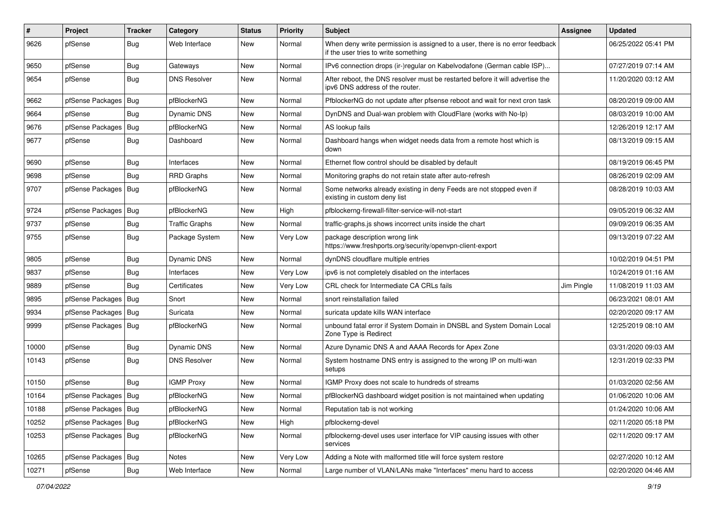| #     | Project                | <b>Tracker</b> | Category              | <b>Status</b> | <b>Priority</b> | <b>Subject</b>                                                                                                       | <b>Assignee</b> | <b>Updated</b>      |
|-------|------------------------|----------------|-----------------------|---------------|-----------------|----------------------------------------------------------------------------------------------------------------------|-----------------|---------------------|
| 9626  | pfSense                | <b>Bug</b>     | Web Interface         | New           | Normal          | When deny write permission is assigned to a user, there is no error feedback<br>if the user tries to write something |                 | 06/25/2022 05:41 PM |
| 9650  | pfSense                | Bug            | Gateways              | New           | Normal          | IPv6 connection drops (ir-)regular on Kabelvodafone (German cable ISP)                                               |                 | 07/27/2019 07:14 AM |
| 9654  | pfSense                | <b>Bug</b>     | <b>DNS Resolver</b>   | New           | Normal          | After reboot, the DNS resolver must be restarted before it will advertise the<br>ipv6 DNS address of the router.     |                 | 11/20/2020 03:12 AM |
| 9662  | pfSense Packages       | Bug            | pfBlockerNG           | New           | Normal          | PfblockerNG do not update after pfsense reboot and wait for next cron task                                           |                 | 08/20/2019 09:00 AM |
| 9664  | pfSense                | Bug            | Dynamic DNS           | New           | Normal          | DynDNS and Dual-wan problem with CloudFlare (works with No-Ip)                                                       |                 | 08/03/2019 10:00 AM |
| 9676  | pfSense Packages       | Bug            | pfBlockerNG           | New           | Normal          | AS lookup fails                                                                                                      |                 | 12/26/2019 12:17 AM |
| 9677  | pfSense                | Bug            | Dashboard             | New           | Normal          | Dashboard hangs when widget needs data from a remote host which is<br>down                                           |                 | 08/13/2019 09:15 AM |
| 9690  | pfSense                | <b>Bug</b>     | Interfaces            | New           | Normal          | Ethernet flow control should be disabled by default                                                                  |                 | 08/19/2019 06:45 PM |
| 9698  | pfSense                | <b>Bug</b>     | <b>RRD Graphs</b>     | New           | Normal          | Monitoring graphs do not retain state after auto-refresh                                                             |                 | 08/26/2019 02:09 AM |
| 9707  | pfSense Packages       | Bug            | pfBlockerNG           | New           | Normal          | Some networks already existing in deny Feeds are not stopped even if<br>existing in custom deny list                 |                 | 08/28/2019 10:03 AM |
| 9724  | pfSense Packages       | Bug            | pfBlockerNG           | <b>New</b>    | High            | pfblockerng-firewall-filter-service-will-not-start                                                                   |                 | 09/05/2019 06:32 AM |
| 9737  | pfSense                | <b>Bug</b>     | <b>Traffic Graphs</b> | New           | Normal          | traffic-graphs.js shows incorrect units inside the chart                                                             |                 | 09/09/2019 06:35 AM |
| 9755  | pfSense                | <b>Bug</b>     | Package System        | New           | Very Low        | package description wrong link<br>https://www.freshports.org/security/openvpn-client-export                          |                 | 09/13/2019 07:22 AM |
| 9805  | pfSense                | <b>Bug</b>     | <b>Dynamic DNS</b>    | <b>New</b>    | Normal          | dynDNS cloudflare multiple entries                                                                                   |                 | 10/02/2019 04:51 PM |
| 9837  | pfSense                | <b>Bug</b>     | Interfaces            | New           | Very Low        | ipv6 is not completely disabled on the interfaces                                                                    |                 | 10/24/2019 01:16 AM |
| 9889  | pfSense                | Bug            | Certificates          | New           | Very Low        | CRL check for Intermediate CA CRLs fails                                                                             | Jim Pingle      | 11/08/2019 11:03 AM |
| 9895  | pfSense Packages       | <b>Bug</b>     | Snort                 | New           | Normal          | snort reinstallation failed                                                                                          |                 | 06/23/2021 08:01 AM |
| 9934  | pfSense Packages       | Bug            | Suricata              | New           | Normal          | suricata update kills WAN interface                                                                                  |                 | 02/20/2020 09:17 AM |
| 9999  | pfSense Packages       | <b>Bug</b>     | pfBlockerNG           | New           | Normal          | unbound fatal error if System Domain in DNSBL and System Domain Local<br>Zone Type is Redirect                       |                 | 12/25/2019 08:10 AM |
| 10000 | pfSense                | Bug            | Dynamic DNS           | New           | Normal          | Azure Dynamic DNS A and AAAA Records for Apex Zone                                                                   |                 | 03/31/2020 09:03 AM |
| 10143 | pfSense                | Bug            | <b>DNS Resolver</b>   | New           | Normal          | System hostname DNS entry is assigned to the wrong IP on multi-wan<br>setups                                         |                 | 12/31/2019 02:33 PM |
| 10150 | pfSense                | <b>Bug</b>     | <b>IGMP Proxy</b>     | <b>New</b>    | Normal          | IGMP Proxy does not scale to hundreds of streams                                                                     |                 | 01/03/2020 02:56 AM |
| 10164 | pfSense Packages       | <b>Bug</b>     | pfBlockerNG           | New           | Normal          | pfBlockerNG dashboard widget position is not maintained when updating                                                |                 | 01/06/2020 10:06 AM |
| 10188 | pfSense Packages   Bug |                | pfBlockerNG           | New           | Normal          | Reputation tab is not working                                                                                        |                 | 01/24/2020 10:06 AM |
| 10252 | pfSense Packages       | <b>Bug</b>     | pfBlockerNG           | New           | High            | pfblockerng-devel                                                                                                    |                 | 02/11/2020 05:18 PM |
| 10253 | pfSense Packages   Bug |                | pfBlockerNG           | New           | Normal          | pfblockerng-devel uses user interface for VIP causing issues with other<br>services                                  |                 | 02/11/2020 09:17 AM |
| 10265 | pfSense Packages       | Bug            | Notes                 | New           | Very Low        | Adding a Note with malformed title will force system restore                                                         |                 | 02/27/2020 10:12 AM |
| 10271 | pfSense                | <b>Bug</b>     | Web Interface         | New           | Normal          | Large number of VLAN/LANs make "Interfaces" menu hard to access                                                      |                 | 02/20/2020 04:46 AM |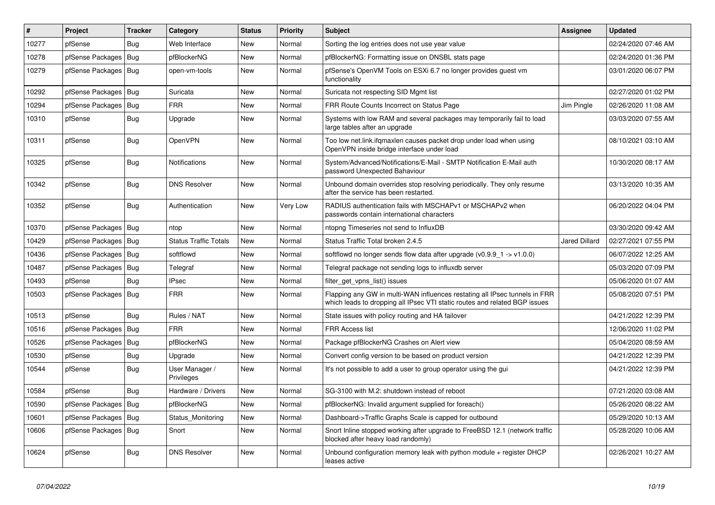| #     | Project                | <b>Tracker</b> | Category                     | <b>Status</b> | <b>Priority</b> | <b>Subject</b>                                                                                                                                           | Assignee      | <b>Updated</b>      |
|-------|------------------------|----------------|------------------------------|---------------|-----------------|----------------------------------------------------------------------------------------------------------------------------------------------------------|---------------|---------------------|
| 10277 | pfSense                | Bug            | Web Interface                | <b>New</b>    | Normal          | Sorting the log entries does not use year value                                                                                                          |               | 02/24/2020 07:46 AM |
| 10278 | pfSense Packages       | Bug            | pfBlockerNG                  | <b>New</b>    | Normal          | pfBlockerNG: Formatting issue on DNSBL stats page                                                                                                        |               | 02/24/2020 01:36 PM |
| 10279 | pfSense Packages   Bug |                | open-vm-tools                | New           | Normal          | pfSense's OpenVM Tools on ESXi 6.7 no longer provides quest vm<br>functionality                                                                          |               | 03/01/2020 06:07 PM |
| 10292 | pfSense Packages       | Bug            | Suricata                     | New           | Normal          | Suricata not respecting SID Mgmt list                                                                                                                    |               | 02/27/2020 01:02 PM |
| 10294 | pfSense Packages       | Bug            | <b>FRR</b>                   | New           | Normal          | FRR Route Counts Incorrect on Status Page                                                                                                                | Jim Pingle    | 02/26/2020 11:08 AM |
| 10310 | pfSense                | <b>Bug</b>     | Upgrade                      | <b>New</b>    | Normal          | Systems with low RAM and several packages may temporarily fail to load<br>large tables after an upgrade                                                  |               | 03/03/2020 07:55 AM |
| 10311 | pfSense                | <b>Bug</b>     | OpenVPN                      | <b>New</b>    | Normal          | Too low net.link.ifqmaxlen causes packet drop under load when using<br>OpenVPN inside bridge interface under load                                        |               | 08/10/2021 03:10 AM |
| 10325 | pfSense                | <b>Bug</b>     | Notifications                | New           | Normal          | System/Advanced/Notifications/E-Mail - SMTP Notification E-Mail auth<br>password Unexpected Bahaviour                                                    |               | 10/30/2020 08:17 AM |
| 10342 | pfSense                | Bug            | <b>DNS Resolver</b>          | New           | Normal          | Unbound domain overrides stop resolving periodically. They only resume<br>after the service has been restarted.                                          |               | 03/13/2020 10:35 AM |
| 10352 | pfSense                | Bug            | Authentication               | <b>New</b>    | Very Low        | RADIUS authentication fails with MSCHAPv1 or MSCHAPv2 when<br>passwords contain international characters                                                 |               | 06/20/2022 04:04 PM |
| 10370 | pfSense Packages       | <b>Bug</b>     | ntop                         | <b>New</b>    | Normal          | ntopng Timeseries not send to InfluxDB                                                                                                                   |               | 03/30/2020 09:42 AM |
| 10429 | pfSense Packages       | Bug            | <b>Status Traffic Totals</b> | New           | Normal          | Status Traffic Total broken 2.4.5                                                                                                                        | Jared Dillard | 02/27/2021 07:55 PM |
| 10436 | pfSense Packages   Bug |                | softflowd                    | New           | Normal          | softflowd no longer sends flow data after upgrade $(v0.9.9 \text{ m/s} > v1.0.0)$                                                                        |               | 06/07/2022 12:25 AM |
| 10487 | pfSense Packages       | Bug            | Telegraf                     | <b>New</b>    | Normal          | Telegraf package not sending logs to influxdb server                                                                                                     |               | 05/03/2020 07:09 PM |
| 10493 | pfSense                | Bug            | <b>IPsec</b>                 | New           | Normal          | filter_get_vpns_list() issues                                                                                                                            |               | 05/06/2020 01:07 AM |
| 10503 | pfSense Packages   Bug |                | <b>FRR</b>                   | <b>New</b>    | Normal          | Flapping any GW in multi-WAN influences restating all IPsec tunnels in FRR<br>which leads to dropping all IPsec VTI static routes and related BGP issues |               | 05/08/2020 07:51 PM |
| 10513 | pfSense                | Bug            | Rules / NAT                  | <b>New</b>    | Normal          | State issues with policy routing and HA failover                                                                                                         |               | 04/21/2022 12:39 PM |
| 10516 | pfSense Packages       | Bug            | <b>FRR</b>                   | New           | Normal          | <b>FRR Access list</b>                                                                                                                                   |               | 12/06/2020 11:02 PM |
| 10526 | pfSense Packages       | Bug            | pfBlockerNG                  | New           | Normal          | Package pfBlockerNG Crashes on Alert view                                                                                                                |               | 05/04/2020 08:59 AM |
| 10530 | pfSense                | Bug            | Upgrade                      | New           | Normal          | Convert config version to be based on product version                                                                                                    |               | 04/21/2022 12:39 PM |
| 10544 | pfSense                | <b>Bug</b>     | User Manager /<br>Privileges | New           | Normal          | It's not possible to add a user to group operator using the gui                                                                                          |               | 04/21/2022 12:39 PM |
| 10584 | pfSense                | Bug            | Hardware / Drivers           | New           | Normal          | SG-3100 with M.2: shutdown instead of reboot                                                                                                             |               | 07/21/2020 03:08 AM |
| 10590 | pfSense Packages       | Bug            | pfBlockerNG                  | <b>New</b>    | Normal          | pfBlockerNG: Invalid argument supplied for foreach()                                                                                                     |               | 05/26/2020 08:22 AM |
| 10601 | pfSense Packages       | Bug            | Status Monitoring            | New           | Normal          | Dashboard->Traffic Graphs Scale is capped for outbound                                                                                                   |               | 05/29/2020 10:13 AM |
| 10606 | pfSense Packages   Bug |                | Snort                        | <b>New</b>    | Normal          | Snort Inline stopped working after upgrade to FreeBSD 12.1 (network traffic<br>blocked after heavy load randomly)                                        |               | 05/28/2020 10:06 AM |
| 10624 | pfSense                | Bug            | <b>DNS Resolver</b>          | <b>New</b>    | Normal          | Unbound configuration memory leak with python module + register DHCP<br>leases active                                                                    |               | 02/26/2021 10:27 AM |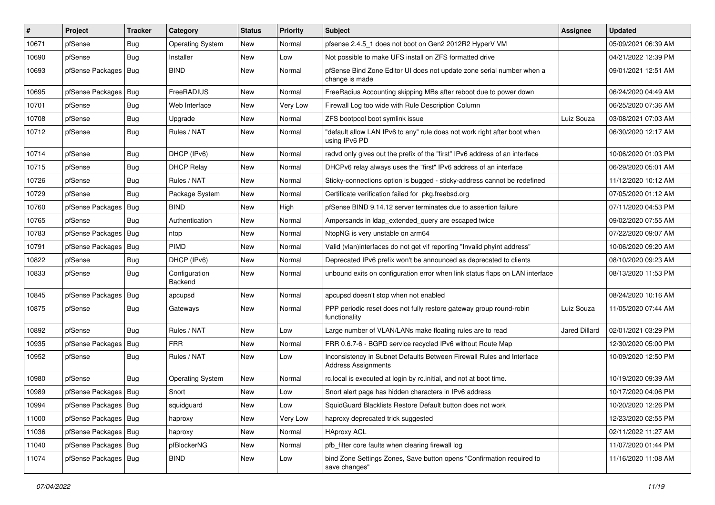| $\vert$ # | Project                | <b>Tracker</b> | Category                 | <b>Status</b> | Priority | <b>Subject</b>                                                                                      | Assignee             | <b>Updated</b>      |
|-----------|------------------------|----------------|--------------------------|---------------|----------|-----------------------------------------------------------------------------------------------------|----------------------|---------------------|
| 10671     | pfSense                | Bug            | <b>Operating System</b>  | New           | Normal   | pfsense 2.4.5_1 does not boot on Gen2 2012R2 HyperV VM                                              |                      | 05/09/2021 06:39 AM |
| 10690     | pfSense                | Bug            | Installer                | <b>New</b>    | Low      | Not possible to make UFS install on ZFS formatted drive                                             |                      | 04/21/2022 12:39 PM |
| 10693     | pfSense Packages       | <b>Bug</b>     | <b>BIND</b>              | New           | Normal   | pfSense Bind Zone Editor UI does not update zone serial number when a<br>change is made             |                      | 09/01/2021 12:51 AM |
| 10695     | pfSense Packages       | Bug            | FreeRADIUS               | New           | Normal   | FreeRadius Accounting skipping MBs after reboot due to power down                                   |                      | 06/24/2020 04:49 AM |
| 10701     | pfSense                | <b>Bug</b>     | Web Interface            | New           | Very Low | Firewall Log too wide with Rule Description Column                                                  |                      | 06/25/2020 07:36 AM |
| 10708     | pfSense                | Bug            | Upgrade                  | New           | Normal   | ZFS bootpool boot symlink issue                                                                     | Luiz Souza           | 03/08/2021 07:03 AM |
| 10712     | pfSense                | Bug            | Rules / NAT              | New           | Normal   | "default allow LAN IPv6 to any" rule does not work right after boot when<br>using IPv6 PD           |                      | 06/30/2020 12:17 AM |
| 10714     | pfSense                | <b>Bug</b>     | DHCP (IPv6)              | New           | Normal   | radvd only gives out the prefix of the "first" IPv6 address of an interface                         |                      | 10/06/2020 01:03 PM |
| 10715     | pfSense                | Bug            | <b>DHCP Relay</b>        | New           | Normal   | DHCPv6 relay always uses the "first" IPv6 address of an interface                                   |                      | 06/29/2020 05:01 AM |
| 10726     | pfSense                | Bug            | Rules / NAT              | New           | Normal   | Sticky-connections option is bugged - sticky-address cannot be redefined                            |                      | 11/12/2020 10:12 AM |
| 10729     | pfSense                | <b>Bug</b>     | Package System           | New           | Normal   | Certificate verification failed for pkg.freebsd.org                                                 |                      | 07/05/2020 01:12 AM |
| 10760     | pfSense Packages       | <b>Bug</b>     | <b>BIND</b>              | New           | High     | pfSense BIND 9.14.12 server terminates due to assertion failure                                     |                      | 07/11/2020 04:53 PM |
| 10765     | pfSense                | Bug            | Authentication           | New           | Normal   | Ampersands in Idap_extended_query are escaped twice                                                 |                      | 09/02/2020 07:55 AM |
| 10783     | pfSense Packages       | Bug            | ntop                     | New           | Normal   | NtopNG is very unstable on arm64                                                                    |                      | 07/22/2020 09:07 AM |
| 10791     | pfSense Packages   Bug |                | PIMD                     | New           | Normal   | Valid (vlan)interfaces do not get vif reporting "Invalid phyint address"                            |                      | 10/06/2020 09:20 AM |
| 10822     | pfSense                | <b>Bug</b>     | DHCP (IPv6)              | <b>New</b>    | Normal   | Deprecated IPv6 prefix won't be announced as deprecated to clients                                  |                      | 08/10/2020 09:23 AM |
| 10833     | pfSense                | Bug            | Configuration<br>Backend | New           | Normal   | unbound exits on configuration error when link status flaps on LAN interface                        |                      | 08/13/2020 11:53 PM |
| 10845     | pfSense Packages       | Bug            | apcupsd                  | <b>New</b>    | Normal   | apcupsd doesn't stop when not enabled                                                               |                      | 08/24/2020 10:16 AM |
| 10875     | pfSense                | Bug            | Gateways                 | New           | Normal   | PPP periodic reset does not fully restore gateway group round-robin<br>functionality                | Luiz Souza           | 11/05/2020 07:44 AM |
| 10892     | pfSense                | Bug            | Rules / NAT              | New           | Low      | Large number of VLAN/LANs make floating rules are to read                                           | <b>Jared Dillard</b> | 02/01/2021 03:29 PM |
| 10935     | pfSense Packages       | Bug            | <b>FRR</b>               | New           | Normal   | FRR 0.6.7-6 - BGPD service recycled IPv6 without Route Map                                          |                      | 12/30/2020 05:00 PM |
| 10952     | pfSense                | <b>Bug</b>     | Rules / NAT              | New           | Low      | Inconsistency in Subnet Defaults Between Firewall Rules and Interface<br><b>Address Assignments</b> |                      | 10/09/2020 12:50 PM |
| 10980     | pfSense                | Bug            | <b>Operating System</b>  | New           | Normal   | rc.local is executed at login by rc.initial, and not at boot time.                                  |                      | 10/19/2020 09:39 AM |
| 10989     | pfSense Packages       | Bug            | Snort                    | New           | Low      | Snort alert page has hidden characters in IPv6 address                                              |                      | 10/17/2020 04:06 PM |
| 10994     | ptSense Packages   Bug |                | squidguard               | New           | Low      | SquidGuard Blacklists Restore Default button does not work                                          |                      | 10/20/2020 12:26 PM |
| 11000     | pfSense Packages   Bug |                | haproxy                  | New           | Very Low | haproxy deprecated trick suggested                                                                  |                      | 12/23/2020 02:55 PM |
| 11036     | pfSense Packages   Bug |                | haproxy                  | New           | Normal   | <b>HAproxy ACL</b>                                                                                  |                      | 02/11/2022 11:27 AM |
| 11040     | pfSense Packages   Bug |                | pfBlockerNG              | New           | Normal   | pfb_filter core faults when clearing firewall log                                                   |                      | 11/07/2020 01:44 PM |
| 11074     | pfSense Packages   Bug |                | <b>BIND</b>              | New           | Low      | bind Zone Settings Zones, Save button opens "Confirmation required to<br>save changes"              |                      | 11/16/2020 11:08 AM |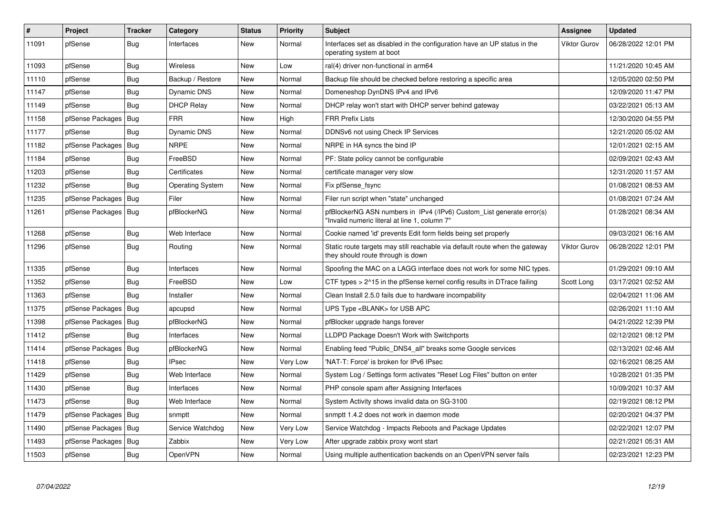| $\vert$ # | Project                | <b>Tracker</b> | Category                | <b>Status</b> | <b>Priority</b> | <b>Subject</b>                                                                                                         | Assignee     | <b>Updated</b>      |
|-----------|------------------------|----------------|-------------------------|---------------|-----------------|------------------------------------------------------------------------------------------------------------------------|--------------|---------------------|
| 11091     | pfSense                | Bug            | Interfaces              | <b>New</b>    | Normal          | Interfaces set as disabled in the configuration have an UP status in the<br>operating system at boot                   | Viktor Gurov | 06/28/2022 12:01 PM |
| 11093     | pfSense                | <b>Bug</b>     | <b>Wireless</b>         | New           | Low             | ral(4) driver non-functional in arm64                                                                                  |              | 11/21/2020 10:45 AM |
| 11110     | pfSense                | Bug            | Backup / Restore        | New           | Normal          | Backup file should be checked before restoring a specific area                                                         |              | 12/05/2020 02:50 PM |
| 11147     | pfSense                | <b>Bug</b>     | Dynamic DNS             | <b>New</b>    | Normal          | Domeneshop DynDNS IPv4 and IPv6                                                                                        |              | 12/09/2020 11:47 PM |
| 11149     | pfSense                | Bug            | <b>DHCP Relay</b>       | New           | Normal          | DHCP relay won't start with DHCP server behind gateway                                                                 |              | 03/22/2021 05:13 AM |
| 11158     | pfSense Packages       | <b>Bug</b>     | <b>FRR</b>              | New           | High            | <b>FRR Prefix Lists</b>                                                                                                |              | 12/30/2020 04:55 PM |
| 11177     | pfSense                | Bug            | Dynamic DNS             | New           | Normal          | DDNSv6 not using Check IP Services                                                                                     |              | 12/21/2020 05:02 AM |
| 11182     | pfSense Packages       | <b>Bug</b>     | <b>NRPE</b>             | <b>New</b>    | Normal          | NRPE in HA syncs the bind IP                                                                                           |              | 12/01/2021 02:15 AM |
| 11184     | pfSense                | Bug            | FreeBSD                 | New           | Normal          | PF: State policy cannot be configurable                                                                                |              | 02/09/2021 02:43 AM |
| 11203     | pfSense                | <b>Bug</b>     | Certificates            | <b>New</b>    | Normal          | certificate manager very slow                                                                                          |              | 12/31/2020 11:57 AM |
| 11232     | pfSense                | Bug            | <b>Operating System</b> | New           | Normal          | Fix pfSense fsync                                                                                                      |              | 01/08/2021 08:53 AM |
| 11235     | pfSense Packages       | <b>Bug</b>     | Filer                   | New           | Normal          | Filer run script when "state" unchanged                                                                                |              | 01/08/2021 07:24 AM |
| 11261     | pfSense Packages       | Bug            | pfBlockerNG             | <b>New</b>    | Normal          | pfBlockerNG ASN numbers in IPv4 (/IPv6) Custom List generate error(s)<br>"Invalid numeric literal at line 1, column 7" |              | 01/28/2021 08:34 AM |
| 11268     | pfSense                | Bug            | Web Interface           | New           | Normal          | Cookie named 'id' prevents Edit form fields being set properly                                                         |              | 09/03/2021 06:16 AM |
| 11296     | pfSense                | Bug            | Routing                 | New           | Normal          | Static route targets may still reachable via default route when the gateway<br>they should route through is down       | Viktor Gurov | 06/28/2022 12:01 PM |
| 11335     | pfSense                | Bug            | Interfaces              | New           | Normal          | Spoofing the MAC on a LAGG interface does not work for some NIC types.                                                 |              | 01/29/2021 09:10 AM |
| 11352     | pfSense                | <b>Bug</b>     | FreeBSD                 | New           | Low             | CTF types > 2^15 in the pfSense kernel config results in DTrace failing                                                | Scott Long   | 03/17/2021 02:52 AM |
| 11363     | pfSense                | Bug            | Installer               | New           | Normal          | Clean Install 2.5.0 fails due to hardware incompability                                                                |              | 02/04/2021 11:06 AM |
| 11375     | pfSense Packages       | Bug            | apcupsd                 | New           | Normal          | UPS Type <blank> for USB APC</blank>                                                                                   |              | 02/26/2021 11:10 AM |
| 11398     | pfSense Packages   Bug |                | pfBlockerNG             | New           | Normal          | pfBlocker upgrade hangs forever                                                                                        |              | 04/21/2022 12:39 PM |
| 11412     | pfSense                | <b>Bug</b>     | Interfaces              | New           | Normal          | LLDPD Package Doesn't Work with Switchports                                                                            |              | 02/12/2021 08:12 PM |
| 11414     | pfSense Packages       | <b>Bug</b>     | pfBlockerNG             | New           | Normal          | Enabling feed "Public DNS4 all" breaks some Google services                                                            |              | 02/13/2021 02:46 AM |
| 11418     | pfSense                | <b>Bug</b>     | <b>IPsec</b>            | New           | Very Low        | 'NAT-T: Force' is broken for IPv6 IPsec                                                                                |              | 02/16/2021 08:25 AM |
| 11429     | pfSense                | Bug            | Web Interface           | New           | Normal          | System Log / Settings form activates "Reset Log Files" button on enter                                                 |              | 10/28/2021 01:35 PM |
| 11430     | pfSense                | <b>Bug</b>     | Interfaces              | <b>New</b>    | Normal          | PHP console spam after Assigning Interfaces                                                                            |              | 10/09/2021 10:37 AM |
| 11473     | pfSense                | Bug            | Web Interface           | New           | Normal          | System Activity shows invalid data on SG-3100                                                                          |              | 02/19/2021 08:12 PM |
| 11479     | pfSense Packages       | Bug            | snmptt                  | New           | Normal          | snmptt 1.4.2 does not work in daemon mode                                                                              |              | 02/20/2021 04:37 PM |
| 11490     | pfSense Packages   Bug |                | Service Watchdog        | New           | Very Low        | Service Watchdog - Impacts Reboots and Package Updates                                                                 |              | 02/22/2021 12:07 PM |
| 11493     | pfSense Packages       | Bug            | Zabbix                  | New           | Very Low        | After upgrade zabbix proxy wont start                                                                                  |              | 02/21/2021 05:31 AM |
| 11503     | pfSense                | Bug            | OpenVPN                 | New           | Normal          | Using multiple authentication backends on an OpenVPN server fails                                                      |              | 02/23/2021 12:23 PM |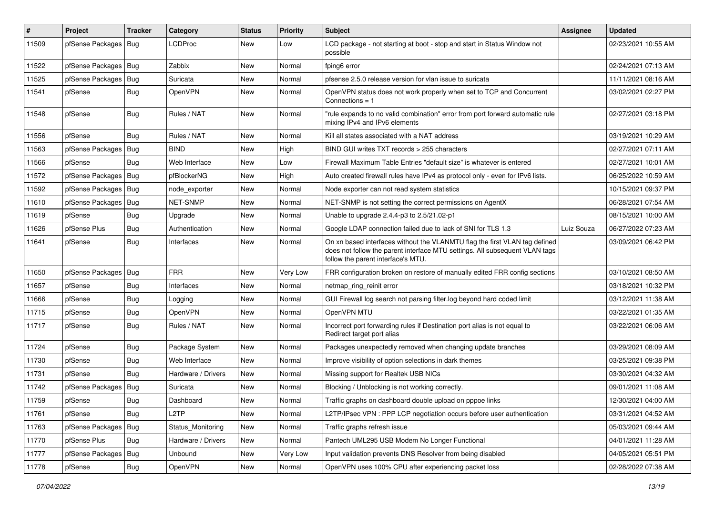| $\#$  | Project                | <b>Tracker</b> | Category           | <b>Status</b> | <b>Priority</b> | <b>Subject</b>                                                                                                                                                                                  | Assignee   | <b>Updated</b>      |
|-------|------------------------|----------------|--------------------|---------------|-----------------|-------------------------------------------------------------------------------------------------------------------------------------------------------------------------------------------------|------------|---------------------|
| 11509 | pfSense Packages   Bug |                | <b>LCDProc</b>     | <b>New</b>    | Low             | LCD package - not starting at boot - stop and start in Status Window not<br>possible                                                                                                            |            | 02/23/2021 10:55 AM |
| 11522 | pfSense Packages   Bug |                | Zabbix             | <b>New</b>    | Normal          | fping6 error                                                                                                                                                                                    |            | 02/24/2021 07:13 AM |
| 11525 | pfSense Packages   Bug |                | Suricata           | New           | Normal          | pfsense 2.5.0 release version for vlan issue to suricata                                                                                                                                        |            | 11/11/2021 08:16 AM |
| 11541 | pfSense                | Bug            | OpenVPN            | <b>New</b>    | Normal          | OpenVPN status does not work properly when set to TCP and Concurrent<br>Connections = 1                                                                                                         |            | 03/02/2021 02:27 PM |
| 11548 | pfSense                | Bug            | Rules / NAT        | New           | Normal          | "rule expands to no valid combination" error from port forward automatic rule<br>mixing IPv4 and IPv6 elements                                                                                  |            | 02/27/2021 03:18 PM |
| 11556 | pfSense                | Bug            | Rules / NAT        | <b>New</b>    | Normal          | Kill all states associated with a NAT address                                                                                                                                                   |            | 03/19/2021 10:29 AM |
| 11563 | pfSense Packages   Bug |                | <b>BIND</b>        | <b>New</b>    | High            | BIND GUI writes TXT records > 255 characters                                                                                                                                                    |            | 02/27/2021 07:11 AM |
| 11566 | pfSense                | Bug            | Web Interface      | New           | Low             | Firewall Maximum Table Entries "default size" is whatever is entered                                                                                                                            |            | 02/27/2021 10:01 AM |
| 11572 | pfSense Packages   Bug |                | pfBlockerNG        | New           | High            | Auto created firewall rules have IPv4 as protocol only - even for IPv6 lists.                                                                                                                   |            | 06/25/2022 10:59 AM |
| 11592 | pfSense Packages   Bug |                | node exporter      | <b>New</b>    | Normal          | Node exporter can not read system statistics                                                                                                                                                    |            | 10/15/2021 09:37 PM |
| 11610 | pfSense Packages   Bug |                | NET-SNMP           | New           | Normal          | NET-SNMP is not setting the correct permissions on AgentX                                                                                                                                       |            | 06/28/2021 07:54 AM |
| 11619 | pfSense                | <b>Bug</b>     | Upgrade            | New           | Normal          | Unable to upgrade 2.4.4-p3 to 2.5/21.02-p1                                                                                                                                                      |            | 08/15/2021 10:00 AM |
| 11626 | pfSense Plus           | <b>Bug</b>     | Authentication     | New           | Normal          | Google LDAP connection failed due to lack of SNI for TLS 1.3                                                                                                                                    | Luiz Souza | 06/27/2022 07:23 AM |
| 11641 | pfSense                | <b>Bug</b>     | Interfaces         | <b>New</b>    | Normal          | On xn based interfaces without the VLANMTU flag the first VLAN tag defined<br>does not follow the parent interface MTU settings. All subsequent VLAN tags<br>follow the parent interface's MTU. |            | 03/09/2021 06:42 PM |
| 11650 | pfSense Packages   Bug |                | <b>FRR</b>         | <b>New</b>    | Very Low        | FRR configuration broken on restore of manually edited FRR config sections                                                                                                                      |            | 03/10/2021 08:50 AM |
| 11657 | pfSense                | <b>Bug</b>     | Interfaces         | <b>New</b>    | Normal          | netmap_ring_reinit error                                                                                                                                                                        |            | 03/18/2021 10:32 PM |
| 11666 | pfSense                | <b>Bug</b>     | Logging            | New           | Normal          | GUI Firewall log search not parsing filter.log beyond hard coded limit                                                                                                                          |            | 03/12/2021 11:38 AM |
| 11715 | pfSense                | Bug            | OpenVPN            | <b>New</b>    | Normal          | OpenVPN MTU                                                                                                                                                                                     |            | 03/22/2021 01:35 AM |
| 11717 | pfSense                | <b>Bug</b>     | Rules / NAT        | New           | Normal          | Incorrect port forwarding rules if Destination port alias is not equal to<br>Redirect target port alias                                                                                         |            | 03/22/2021 06:06 AM |
| 11724 | pfSense                | <b>Bug</b>     | Package System     | <b>New</b>    | Normal          | Packages unexpectedly removed when changing update branches                                                                                                                                     |            | 03/29/2021 08:09 AM |
| 11730 | pfSense                | <b>Bug</b>     | Web Interface      | <b>New</b>    | Normal          | Improve visibility of option selections in dark themes                                                                                                                                          |            | 03/25/2021 09:38 PM |
| 11731 | pfSense                | <b>Bug</b>     | Hardware / Drivers | New           | Normal          | Missing support for Realtek USB NICs                                                                                                                                                            |            | 03/30/2021 04:32 AM |
| 11742 | pfSense Packages       | <b>Bug</b>     | Suricata           | New           | Normal          | Blocking / Unblocking is not working correctly.                                                                                                                                                 |            | 09/01/2021 11:08 AM |
| 11759 | pfSense                | Bug            | Dashboard          | New           | Normal          | Traffic graphs on dashboard double upload on pppoe links                                                                                                                                        |            | 12/30/2021 04:00 AM |
| 11761 | pfSense                | Bug            | L <sub>2</sub> TP  | <b>New</b>    | Normal          | L2TP/IPsec VPN : PPP LCP negotiation occurs before user authentication                                                                                                                          |            | 03/31/2021 04:52 AM |
| 11763 | pfSense Packages       | Bug            | Status_Monitoring  | New           | Normal          | Traffic graphs refresh issue                                                                                                                                                                    |            | 05/03/2021 09:44 AM |
| 11770 | pfSense Plus           | Bug            | Hardware / Drivers | New           | Normal          | Pantech UML295 USB Modem No Longer Functional                                                                                                                                                   |            | 04/01/2021 11:28 AM |
| 11777 | pfSense Packages   Bug |                | Unbound            | New           | Very Low        | Input validation prevents DNS Resolver from being disabled                                                                                                                                      |            | 04/05/2021 05:51 PM |
| 11778 | pfSense                | Bug            | OpenVPN            | New           | Normal          | OpenVPN uses 100% CPU after experiencing packet loss                                                                                                                                            |            | 02/28/2022 07:38 AM |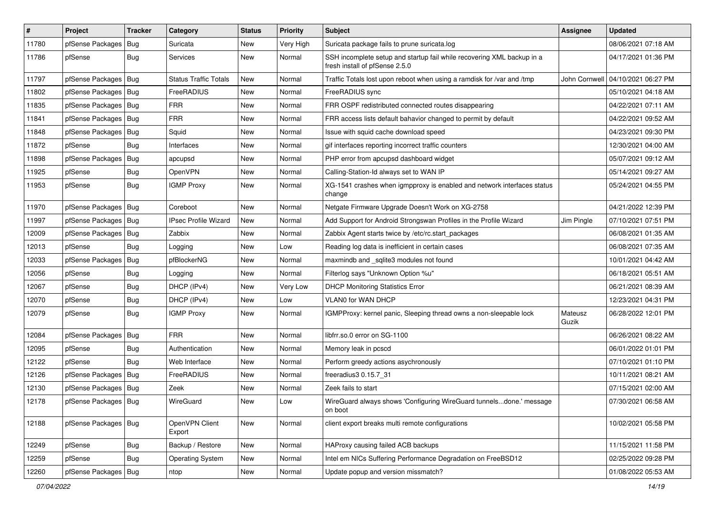| $\vert$ # | Project                | <b>Tracker</b> | Category                     | <b>Status</b> | <b>Priority</b> | <b>Subject</b>                                                                                           | <b>Assignee</b>  | <b>Updated</b>      |
|-----------|------------------------|----------------|------------------------------|---------------|-----------------|----------------------------------------------------------------------------------------------------------|------------------|---------------------|
| 11780     | pfSense Packages       | Bug            | Suricata                     | New           | Very High       | Suricata package fails to prune suricata.log                                                             |                  | 08/06/2021 07:18 AM |
| 11786     | pfSense                | <b>Bug</b>     | Services                     | <b>New</b>    | Normal          | SSH incomplete setup and startup fail while recovering XML backup in a<br>fresh install of pfSense 2.5.0 |                  | 04/17/2021 01:36 PM |
| 11797     | pfSense Packages   Bug |                | <b>Status Traffic Totals</b> | <b>New</b>    | Normal          | Traffic Totals lost upon reboot when using a ramdisk for /var and /tmp                                   | John Cornwell    | 04/10/2021 06:27 PM |
| 11802     | pfSense Packages   Bug |                | FreeRADIUS                   | <b>New</b>    | Normal          | FreeRADIUS sync                                                                                          |                  | 05/10/2021 04:18 AM |
| 11835     | pfSense Packages       | Bug            | <b>FRR</b>                   | <b>New</b>    | Normal          | FRR OSPF redistributed connected routes disappearing                                                     |                  | 04/22/2021 07:11 AM |
| 11841     | pfSense Packages   Bug |                | <b>FRR</b>                   | New           | Normal          | FRR access lists default bahavior changed to permit by default                                           |                  | 04/22/2021 09:52 AM |
| 11848     | pfSense Packages       | Bug            | Squid                        | <b>New</b>    | Normal          | Issue with squid cache download speed                                                                    |                  | 04/23/2021 09:30 PM |
| 11872     | pfSense                | Bug            | Interfaces                   | New           | Normal          | gif interfaces reporting incorrect traffic counters                                                      |                  | 12/30/2021 04:00 AM |
| 11898     | pfSense Packages       | <b>Bug</b>     | apcupsd                      | New           | Normal          | PHP error from apcupsd dashboard widget                                                                  |                  | 05/07/2021 09:12 AM |
| 11925     | pfSense                | Bug            | <b>OpenVPN</b>               | New           | Normal          | Calling-Station-Id always set to WAN IP                                                                  |                  | 05/14/2021 09:27 AM |
| 11953     | pfSense                | Bug            | <b>IGMP Proxy</b>            | <b>New</b>    | Normal          | XG-1541 crashes when igmpproxy is enabled and network interfaces status<br>change                        |                  | 05/24/2021 04:55 PM |
| 11970     | pfSense Packages       | Bug            | Coreboot                     | <b>New</b>    | Normal          | Netgate Firmware Upgrade Doesn't Work on XG-2758                                                         |                  | 04/21/2022 12:39 PM |
| 11997     | pfSense Packages   Bug |                | <b>IPsec Profile Wizard</b>  | <b>New</b>    | Normal          | Add Support for Android Strongswan Profiles in the Profile Wizard                                        | Jim Pingle       | 07/10/2021 07:51 PM |
| 12009     | pfSense Packages       | Bug            | Zabbix                       | <b>New</b>    | Normal          | Zabbix Agent starts twice by /etc/rc.start_packages                                                      |                  | 06/08/2021 01:35 AM |
| 12013     | pfSense                | Bug            | Logging                      | <b>New</b>    | Low             | Reading log data is inefficient in certain cases                                                         |                  | 06/08/2021 07:35 AM |
| 12033     | pfSense Packages       | Bug            | pfBlockerNG                  | New           | Normal          | maxmindb and _sqlite3 modules not found                                                                  |                  | 10/01/2021 04:42 AM |
| 12056     | pfSense                | Bug            | Logging                      | New           | Normal          | Filterlog says "Unknown Option %u"                                                                       |                  | 06/18/2021 05:51 AM |
| 12067     | pfSense                | Bug            | DHCP (IPv4)                  | New           | Very Low        | <b>DHCP Monitoring Statistics Error</b>                                                                  |                  | 06/21/2021 08:39 AM |
| 12070     | pfSense                | <b>Bug</b>     | DHCP (IPv4)                  | New           | Low             | <b>VLANO for WAN DHCP</b>                                                                                |                  | 12/23/2021 04:31 PM |
| 12079     | pfSense                | Bug            | <b>IGMP Proxy</b>            | New           | Normal          | IGMPProxy: kernel panic, Sleeping thread owns a non-sleepable lock                                       | Mateusz<br>Guzik | 06/28/2022 12:01 PM |
| 12084     | pfSense Packages       | Bug            | <b>FRR</b>                   | New           | Normal          | libfrr.so.0 error on SG-1100                                                                             |                  | 06/26/2021 08:22 AM |
| 12095     | pfSense                | <b>Bug</b>     | Authentication               | <b>New</b>    | Normal          | Memory leak in pcscd                                                                                     |                  | 06/01/2022 01:01 PM |
| 12122     | pfSense                | <b>Bug</b>     | Web Interface                | <b>New</b>    | Normal          | Perform greedy actions asychronously                                                                     |                  | 07/10/2021 01:10 PM |
| 12126     | pfSense Packages       | Bug            | FreeRADIUS                   | New           | Normal          | freeradius3 0.15.7 31                                                                                    |                  | 10/11/2021 08:21 AM |
| 12130     | pfSense Packages   Bug |                | Zeek                         | New           | Normal          | Zeek fails to start                                                                                      |                  | 07/15/2021 02:00 AM |
| 12178     | pfSense Packages   Bug |                | WireGuard                    | New           | Low             | WireGuard always shows 'Configuring WireGuard tunnelsdone.' message<br>on boot                           |                  | 07/30/2021 06:58 AM |
| 12188     | pfSense Packages   Bug |                | OpenVPN Client<br>Export     | New           | Normal          | client export breaks multi remote configurations                                                         |                  | 10/02/2021 05:58 PM |
| 12249     | pfSense                | Bug            | Backup / Restore             | New           | Normal          | HAProxy causing failed ACB backups                                                                       |                  | 11/15/2021 11:58 PM |
| 12259     | pfSense                | <b>Bug</b>     | <b>Operating System</b>      | New           | Normal          | Intel em NICs Suffering Performance Degradation on FreeBSD12                                             |                  | 02/25/2022 09:28 PM |
| 12260     | pfSense Packages   Bug |                | ntop                         | New           | Normal          | Update popup and version missmatch?                                                                      |                  | 01/08/2022 05:53 AM |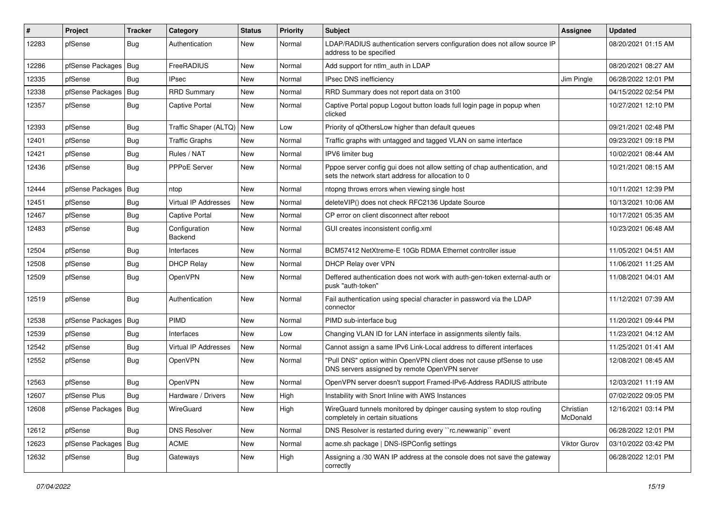| $\vert$ # | Project                | <b>Tracker</b> | Category                    | <b>Status</b> | <b>Priority</b> | <b>Subject</b>                                                                                                                   | <b>Assignee</b>       | <b>Updated</b>      |
|-----------|------------------------|----------------|-----------------------------|---------------|-----------------|----------------------------------------------------------------------------------------------------------------------------------|-----------------------|---------------------|
| 12283     | pfSense                | <b>Bug</b>     | Authentication              | New           | Normal          | LDAP/RADIUS authentication servers configuration does not allow source IP<br>address to be specified                             |                       | 08/20/2021 01:15 AM |
| 12286     | pfSense Packages       | Bug            | FreeRADIUS                  | New           | Normal          | Add support for ntlm_auth in LDAP                                                                                                |                       | 08/20/2021 08:27 AM |
| 12335     | pfSense                | Bug            | <b>IPsec</b>                | New           | Normal          | IPsec DNS inefficiency                                                                                                           | Jim Pingle            | 06/28/2022 12:01 PM |
| 12338     | pfSense Packages       | Bug            | <b>RRD Summary</b>          | New           | Normal          | RRD Summary does not report data on 3100                                                                                         |                       | 04/15/2022 02:54 PM |
| 12357     | pfSense                | Bug            | Captive Portal              | New           | Normal          | Captive Portal popup Logout button loads full login page in popup when<br>clicked                                                |                       | 10/27/2021 12:10 PM |
| 12393     | pfSense                | <b>Bug</b>     | Traffic Shaper (ALTQ)       | <b>New</b>    | Low             | Priority of gOthersLow higher than default queues                                                                                |                       | 09/21/2021 02:48 PM |
| 12401     | pfSense                | <b>Bug</b>     | <b>Traffic Graphs</b>       | New           | Normal          | Traffic graphs with untagged and tagged VLAN on same interface                                                                   |                       | 09/23/2021 09:18 PM |
| 12421     | pfSense                | Bug            | Rules / NAT                 | New           | Normal          | IPV6 limiter bug                                                                                                                 |                       | 10/02/2021 08:44 AM |
| 12436     | pfSense                | Bug            | PPPoE Server                | New           | Normal          | Pppoe server config gui does not allow setting of chap authentication, and<br>sets the network start address for allocation to 0 |                       | 10/21/2021 08:15 AM |
| 12444     | pfSense Packages       | <b>Bug</b>     | ntop                        | New           | Normal          | ntopng throws errors when viewing single host                                                                                    |                       | 10/11/2021 12:39 PM |
| 12451     | pfSense                | <b>Bug</b>     | <b>Virtual IP Addresses</b> | New           | Normal          | deleteVIP() does not check RFC2136 Update Source                                                                                 |                       | 10/13/2021 10:06 AM |
| 12467     | pfSense                | Bug            | Captive Portal              | New           | Normal          | CP error on client disconnect after reboot                                                                                       |                       | 10/17/2021 05:35 AM |
| 12483     | pfSense                | Bug            | Configuration<br>Backend    | New           | Normal          | GUI creates inconsistent config.xml                                                                                              |                       | 10/23/2021 06:48 AM |
| 12504     | pfSense                | <b>Bug</b>     | Interfaces                  | New           | Normal          | BCM57412 NetXtreme-E 10Gb RDMA Ethernet controller issue                                                                         |                       | 11/05/2021 04:51 AM |
| 12508     | pfSense                | Bug            | <b>DHCP Relay</b>           | New           | Normal          | DHCP Relay over VPN                                                                                                              |                       | 11/06/2021 11:25 AM |
| 12509     | pfSense                | Bug            | OpenVPN                     | New           | Normal          | Deffered authentication does not work with auth-gen-token external-auth or<br>pusk "auth-token"                                  |                       | 11/08/2021 04:01 AM |
| 12519     | pfSense                | Bug            | Authentication              | New           | Normal          | Fail authentication using special character in password via the LDAP<br>connector                                                |                       | 11/12/2021 07:39 AM |
| 12538     | pfSense Packages       | Bug            | <b>PIMD</b>                 | New           | Normal          | PIMD sub-interface bug                                                                                                           |                       | 11/20/2021 09:44 PM |
| 12539     | pfSense                | <b>Bug</b>     | Interfaces                  | New           | Low             | Changing VLAN ID for LAN interface in assignments silently fails.                                                                |                       | 11/23/2021 04:12 AM |
| 12542     | pfSense                | Bug            | <b>Virtual IP Addresses</b> | New           | Normal          | Cannot assign a same IPv6 Link-Local address to different interfaces                                                             |                       | 11/25/2021 01:41 AM |
| 12552     | pfSense                | Bug            | <b>OpenVPN</b>              | New           | Normal          | "Pull DNS" option within OpenVPN client does not cause pfSense to use<br>DNS servers assigned by remote OpenVPN server           |                       | 12/08/2021 08:45 AM |
| 12563     | pfSense                | <b>Bug</b>     | <b>OpenVPN</b>              | New           | Normal          | OpenVPN server doesn't support Framed-IPv6-Address RADIUS attribute                                                              |                       | 12/03/2021 11:19 AM |
| 12607     | pfSense Plus           | <b>Bug</b>     | Hardware / Drivers          | New           | High            | Instability with Snort Inline with AWS Instances                                                                                 |                       | 07/02/2022 09:05 PM |
| 12608     | pfSense Packages   Bug |                | WireGuard                   | New           | High            | WireGuard tunnels monitored by dpinger causing system to stop routing<br>completely in certain situations                        | Christian<br>McDonald | 12/16/2021 03:14 PM |
| 12612     | pfSense                | <b>Bug</b>     | <b>DNS Resolver</b>         | New           | Normal          | DNS Resolver is restarted during every "rc.newwanip" event                                                                       |                       | 06/28/2022 12:01 PM |
| 12623     | pfSense Packages       | Bug            | <b>ACME</b>                 | New           | Normal          | acme.sh package   DNS-ISPConfig settings                                                                                         | <b>Viktor Gurov</b>   | 03/10/2022 03:42 PM |
| 12632     | pfSense                | <b>Bug</b>     | Gateways                    | New           | High            | Assigning a /30 WAN IP address at the console does not save the gateway<br>correctly                                             |                       | 06/28/2022 12:01 PM |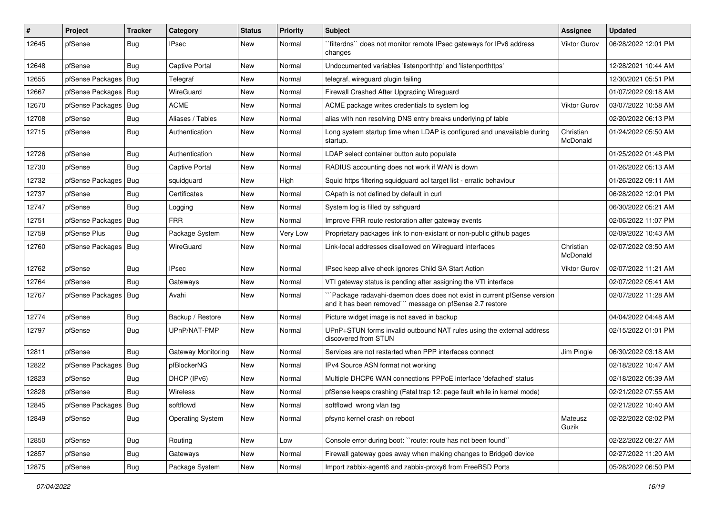| ∦     | Project                | <b>Tracker</b> | Category                | <b>Status</b> | <b>Priority</b> | <b>Subject</b>                                                                                                                     | <b>Assignee</b>       | <b>Updated</b>      |
|-------|------------------------|----------------|-------------------------|---------------|-----------------|------------------------------------------------------------------------------------------------------------------------------------|-----------------------|---------------------|
| 12645 | pfSense                | Bug            | <b>IPsec</b>            | New           | Normal          | `filterdns`` does not monitor remote IPsec gateways for IPv6 address<br>changes                                                    | <b>Viktor Gurov</b>   | 06/28/2022 12:01 PM |
| 12648 | pfSense                | <b>Bug</b>     | Captive Portal          | New           | Normal          | Undocumented variables 'listenporthttp' and 'listenporthttps'                                                                      |                       | 12/28/2021 10:44 AM |
| 12655 | pfSense Packages   Bug |                | Telegraf                | New           | Normal          | telegraf, wireguard plugin failing                                                                                                 |                       | 12/30/2021 05:51 PM |
| 12667 | pfSense Packages       | Bug            | WireGuard               | New           | Normal          | Firewall Crashed After Upgrading Wireguard                                                                                         |                       | 01/07/2022 09:18 AM |
| 12670 | pfSense Packages       | Bug            | <b>ACME</b>             | New           | Normal          | ACME package writes credentials to system log                                                                                      | <b>Viktor Gurov</b>   | 03/07/2022 10:58 AM |
| 12708 | pfSense                | <b>Bug</b>     | Aliases / Tables        | New           | Normal          | alias with non resolving DNS entry breaks underlying pf table                                                                      |                       | 02/20/2022 06:13 PM |
| 12715 | pfSense                | Bug            | Authentication          | New           | Normal          | Long system startup time when LDAP is configured and unavailable during<br>startup.                                                | Christian<br>McDonald | 01/24/2022 05:50 AM |
| 12726 | pfSense                | Bug            | Authentication          | <b>New</b>    | Normal          | LDAP select container button auto populate                                                                                         |                       | 01/25/2022 01:48 PM |
| 12730 | pfSense                | <b>Bug</b>     | Captive Portal          | New           | Normal          | RADIUS accounting does not work if WAN is down                                                                                     |                       | 01/26/2022 05:13 AM |
| 12732 | pfSense Packages   Bug |                | squidguard              | New           | High            | Squid https filtering squidguard acl target list - erratic behaviour                                                               |                       | 01/26/2022 09:11 AM |
| 12737 | pfSense                | Bug            | Certificates            | New           | Normal          | CApath is not defined by default in curl                                                                                           |                       | 06/28/2022 12:01 PM |
| 12747 | pfSense                | Bug            | Logging                 | New           | Normal          | System log is filled by sshguard                                                                                                   |                       | 06/30/2022 05:21 AM |
| 12751 | pfSense Packages       | Bug            | <b>FRR</b>              | New           | Normal          | Improve FRR route restoration after gateway events                                                                                 |                       | 02/06/2022 11:07 PM |
| 12759 | pfSense Plus           | <b>Bug</b>     | Package System          | New           | Very Low        | Proprietary packages link to non-existant or non-public github pages                                                               |                       | 02/09/2022 10:43 AM |
| 12760 | pfSense Packages   Bug |                | WireGuard               | New           | Normal          | Link-local addresses disallowed on Wirequard interfaces                                                                            | Christian<br>McDonald | 02/07/2022 03:50 AM |
| 12762 | pfSense                | <b>Bug</b>     | <b>IPsec</b>            | New           | Normal          | IPsec keep alive check ignores Child SA Start Action                                                                               | <b>Viktor Gurov</b>   | 02/07/2022 11:21 AM |
| 12764 | pfSense                | Bug            | Gateways                | New           | Normal          | VTI gateway status is pending after assigning the VTI interface                                                                    |                       | 02/07/2022 05:41 AM |
| 12767 | pfSense Packages       | Bug            | Avahi                   | New           | Normal          | Package radavahi-daemon does does not exist in current pfSense version<br>and it has been removed"" message on pfSense 2.7 restore |                       | 02/07/2022 11:28 AM |
| 12774 | pfSense                | Bug            | Backup / Restore        | New           | Normal          | Picture widget image is not saved in backup                                                                                        |                       | 04/04/2022 04:48 AM |
| 12797 | pfSense                | Bug            | UPnP/NAT-PMP            | New           | Normal          | UPnP+STUN forms invalid outbound NAT rules using the external address<br>discovered from STUN                                      |                       | 02/15/2022 01:01 PM |
| 12811 | pfSense                | <b>Bug</b>     | Gateway Monitoring      | New           | Normal          | Services are not restarted when PPP interfaces connect                                                                             | Jim Pingle            | 06/30/2022 03:18 AM |
| 12822 | pfSense Packages       | <b>Bug</b>     | pfBlockerNG             | New           | Normal          | IPv4 Source ASN format not working                                                                                                 |                       | 02/18/2022 10:47 AM |
| 12823 | pfSense                | <b>Bug</b>     | DHCP (IPv6)             | New           | Normal          | Multiple DHCP6 WAN connections PPPoE interface 'defached' status                                                                   |                       | 02/18/2022 05:39 AM |
| 12828 | pfSense                | <b>Bug</b>     | Wireless                | New           | Normal          | pfSense keeps crashing (Fatal trap 12: page fault while in kernel mode)                                                            |                       | 02/21/2022 07:55 AM |
| 12845 | pfSense Packages   Bug |                | softflowd               | New           | Normal          | softflowd wrong vlan tag                                                                                                           |                       | 02/21/2022 10:40 AM |
| 12849 | pfSense                | <b>Bug</b>     | <b>Operating System</b> | New           | Normal          | pfsync kernel crash on reboot                                                                                                      | Mateusz<br>Guzik      | 02/22/2022 02:02 PM |
| 12850 | pfSense                | <b>Bug</b>     | Routing                 | New           | Low             | Console error during boot: "route: route has not been found"                                                                       |                       | 02/22/2022 08:27 AM |
| 12857 | pfSense                | <b>Bug</b>     | Gateways                | New           | Normal          | Firewall gateway goes away when making changes to Bridge0 device                                                                   |                       | 02/27/2022 11:20 AM |
| 12875 | pfSense                | <b>Bug</b>     | Package System          | New           | Normal          | Import zabbix-agent6 and zabbix-proxy6 from FreeBSD Ports                                                                          |                       | 05/28/2022 06:50 PM |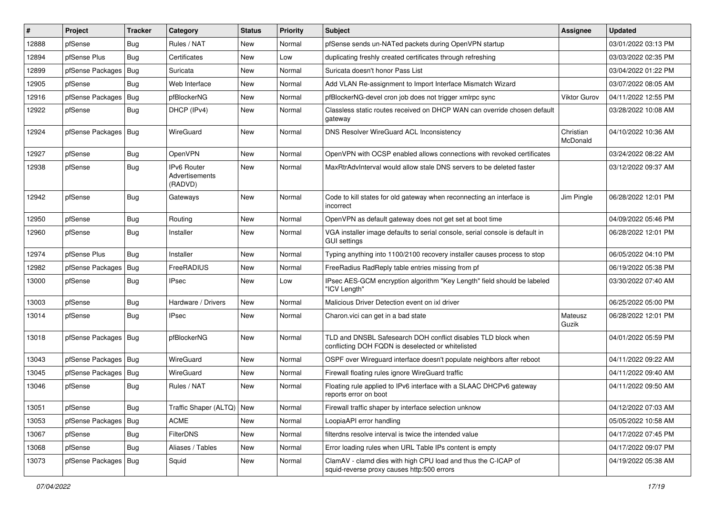| #     | Project                | <b>Tracker</b> | Category                                 | <b>Status</b> | <b>Priority</b> | <b>Subject</b>                                                                                                     | Assignee              | <b>Updated</b>      |
|-------|------------------------|----------------|------------------------------------------|---------------|-----------------|--------------------------------------------------------------------------------------------------------------------|-----------------------|---------------------|
| 12888 | pfSense                | Bug            | Rules / NAT                              | New           | Normal          | pfSense sends un-NATed packets during OpenVPN startup                                                              |                       | 03/01/2022 03:13 PM |
| 12894 | pfSense Plus           | Bug            | Certificates                             | New           | Low             | duplicating freshly created certificates through refreshing                                                        |                       | 03/03/2022 02:35 PM |
| 12899 | pfSense Packages       | Bug            | Suricata                                 | New           | Normal          | Suricata doesn't honor Pass List                                                                                   |                       | 03/04/2022 01:22 PM |
| 12905 | pfSense                | <b>Bug</b>     | Web Interface                            | New           | Normal          | Add VLAN Re-assignment to Import Interface Mismatch Wizard                                                         |                       | 03/07/2022 08:05 AM |
| 12916 | pfSense Packages       | Bug            | pfBlockerNG                              | <b>New</b>    | Normal          | pfBlockerNG-devel cron job does not trigger xmlrpc sync                                                            | <b>Viktor Gurov</b>   | 04/11/2022 12:55 PM |
| 12922 | pfSense                | <b>Bug</b>     | DHCP (IPv4)                              | New           | Normal          | Classless static routes received on DHCP WAN can override chosen default<br>gateway                                |                       | 03/28/2022 10:08 AM |
| 12924 | pfSense Packages       | <b>Bug</b>     | WireGuard                                | New           | Normal          | DNS Resolver WireGuard ACL Inconsistency                                                                           | Christian<br>McDonald | 04/10/2022 10:36 AM |
| 12927 | pfSense                | Bug            | OpenVPN                                  | <b>New</b>    | Normal          | OpenVPN with OCSP enabled allows connections with revoked certificates                                             |                       | 03/24/2022 08:22 AM |
| 12938 | pfSense                | Bug            | IPv6 Router<br>Advertisements<br>(RADVD) | New           | Normal          | MaxRtrAdvInterval would allow stale DNS servers to be deleted faster                                               |                       | 03/12/2022 09:37 AM |
| 12942 | pfSense                | Bug            | Gateways                                 | New           | Normal          | Code to kill states for old gateway when reconnecting an interface is<br>incorrect                                 | Jim Pingle            | 06/28/2022 12:01 PM |
| 12950 | pfSense                | <b>Bug</b>     | Routing                                  | <b>New</b>    | Normal          | OpenVPN as default gateway does not get set at boot time                                                           |                       | 04/09/2022 05:46 PM |
| 12960 | pfSense                | Bug            | Installer                                | New           | Normal          | VGA installer image defaults to serial console, serial console is default in<br>GUI settings                       |                       | 06/28/2022 12:01 PM |
| 12974 | pfSense Plus           | <b>Bug</b>     | Installer                                | <b>New</b>    | Normal          | Typing anything into 1100/2100 recovery installer causes process to stop                                           |                       | 06/05/2022 04:10 PM |
| 12982 | pfSense Packages   Bug |                | FreeRADIUS                               | New           | Normal          | FreeRadius RadReply table entries missing from pf                                                                  |                       | 06/19/2022 05:38 PM |
| 13000 | pfSense                | <b>Bug</b>     | <b>IPsec</b>                             | New           | Low             | IPsec AES-GCM encryption algorithm "Key Length" field should be labeled<br>"ICV Length"                            |                       | 03/30/2022 07:40 AM |
| 13003 | pfSense                | Bug            | Hardware / Drivers                       | <b>New</b>    | Normal          | Malicious Driver Detection event on ixl driver                                                                     |                       | 06/25/2022 05:00 PM |
| 13014 | pfSense                | Bug            | <b>IPsec</b>                             | New           | Normal          | Charon.vici can get in a bad state                                                                                 | Mateusz<br>Guzik      | 06/28/2022 12:01 PM |
| 13018 | pfSense Packages   Bug |                | pfBlockerNG                              | New           | Normal          | TLD and DNSBL Safesearch DOH conflict disables TLD block when<br>conflicting DOH FQDN is deselected or whitelisted |                       | 04/01/2022 05:59 PM |
| 13043 | pfSense Packages   Bug |                | WireGuard                                | New           | Normal          | OSPF over Wireguard interface doesn't populate neighbors after reboot                                              |                       | 04/11/2022 09:22 AM |
| 13045 | pfSense Packages   Bug |                | WireGuard                                | <b>New</b>    | Normal          | Firewall floating rules ignore WireGuard traffic                                                                   |                       | 04/11/2022 09:40 AM |
| 13046 | pfSense                | Bug            | Rules / NAT                              | New           | Normal          | Floating rule applied to IPv6 interface with a SLAAC DHCPv6 gateway<br>reports error on boot                       |                       | 04/11/2022 09:50 AM |
| 13051 | pfSense                | <b>Bug</b>     | Traffic Shaper (ALTQ)   New              |               | Normal          | Firewall traffic shaper by interface selection unknow                                                              |                       | 04/12/2022 07:03 AM |
| 13053 | pfSense Packages       | <b>Bug</b>     | <b>ACME</b>                              | New           | Normal          | LoopiaAPI error handling                                                                                           |                       | 05/05/2022 10:58 AM |
| 13067 | pfSense                | <b>Bug</b>     | <b>FilterDNS</b>                         | New           | Normal          | filterdns resolve interval is twice the intended value                                                             |                       | 04/17/2022 07:45 PM |
| 13068 | pfSense                | <b>Bug</b>     | Aliases / Tables                         | New           | Normal          | Error loading rules when URL Table IPs content is empty                                                            |                       | 04/17/2022 09:07 PM |
| 13073 | pfSense Packages   Bug |                | Squid                                    | New           | Normal          | ClamAV - clamd dies with high CPU load and thus the C-ICAP of<br>squid-reverse proxy causes http:500 errors        |                       | 04/19/2022 05:38 AM |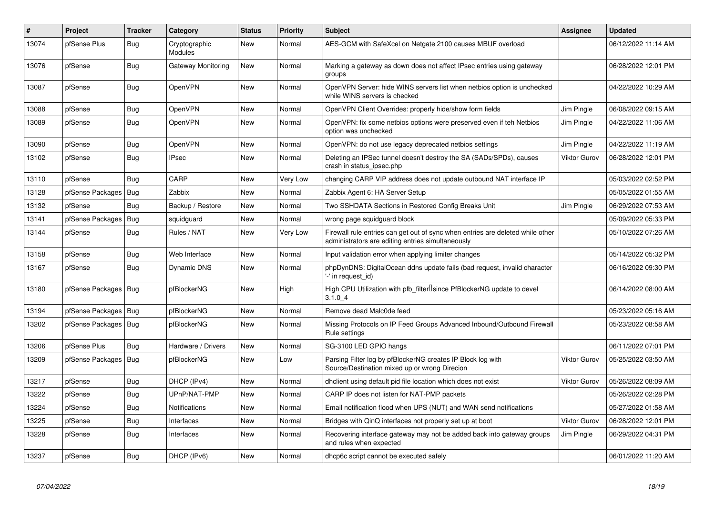| #     | Project          | <b>Tracker</b> | Category                 | <b>Status</b> | <b>Priority</b> | <b>Subject</b>                                                                                                                      | Assignee            | <b>Updated</b>      |
|-------|------------------|----------------|--------------------------|---------------|-----------------|-------------------------------------------------------------------------------------------------------------------------------------|---------------------|---------------------|
| 13074 | pfSense Plus     | Bug            | Cryptographic<br>Modules | New           | Normal          | AES-GCM with SafeXcel on Netgate 2100 causes MBUF overload                                                                          |                     | 06/12/2022 11:14 AM |
| 13076 | pfSense          | Bug            | Gateway Monitoring       | New           | Normal          | Marking a gateway as down does not affect IPsec entries using gateway<br>groups                                                     |                     | 06/28/2022 12:01 PM |
| 13087 | pfSense          | Bug            | <b>OpenVPN</b>           | New           | Normal          | OpenVPN Server: hide WINS servers list when netbios option is unchecked<br>while WINS servers is checked                            |                     | 04/22/2022 10:29 AM |
| 13088 | pfSense          | Bug            | <b>OpenVPN</b>           | <b>New</b>    | Normal          | OpenVPN Client Overrides: properly hide/show form fields                                                                            | Jim Pingle          | 06/08/2022 09:15 AM |
| 13089 | pfSense          | <b>Bug</b>     | OpenVPN                  | New           | Normal          | OpenVPN: fix some netbios options were preserved even if teh Netbios<br>option was unchecked                                        | Jim Pingle          | 04/22/2022 11:06 AM |
| 13090 | pfSense          | <b>Bug</b>     | <b>OpenVPN</b>           | <b>New</b>    | Normal          | OpenVPN: do not use legacy deprecated netbios settings                                                                              | Jim Pingle          | 04/22/2022 11:19 AM |
| 13102 | pfSense          | <b>Bug</b>     | <b>IPsec</b>             | <b>New</b>    | Normal          | Deleting an IPSec tunnel doesn't destroy the SA (SADs/SPDs), causes<br>crash in status ipsec.php                                    | <b>Viktor Gurov</b> | 06/28/2022 12:01 PM |
| 13110 | pfSense          | Bug            | CARP                     | <b>New</b>    | Very Low        | changing CARP VIP address does not update outbound NAT interface IP                                                                 |                     | 05/03/2022 02:52 PM |
| 13128 | pfSense Packages | Bug            | Zabbix                   | New           | Normal          | Zabbix Agent 6: HA Server Setup                                                                                                     |                     | 05/05/2022 01:55 AM |
| 13132 | pfSense          | Bug            | Backup / Restore         | New           | Normal          | Two SSHDATA Sections in Restored Config Breaks Unit                                                                                 | Jim Pingle          | 06/29/2022 07:53 AM |
| 13141 | pfSense Packages | Bug            | squidguard               | <b>New</b>    | Normal          | wrong page squidguard block                                                                                                         |                     | 05/09/2022 05:33 PM |
| 13144 | pfSense          | <b>Bug</b>     | Rules / NAT              | <b>New</b>    | Very Low        | Firewall rule entries can get out of sync when entries are deleted while other<br>administrators are editing entries simultaneously |                     | 05/10/2022 07:26 AM |
| 13158 | pfSense          | Bug            | Web Interface            | <b>New</b>    | Normal          | Input validation error when applying limiter changes                                                                                |                     | 05/14/2022 05:32 PM |
| 13167 | pfSense          | Bug            | <b>Dynamic DNS</b>       | <b>New</b>    | Normal          | phpDynDNS: DigitalOcean ddns update fails (bad request, invalid character<br>'-' in request id)                                     |                     | 06/16/2022 09:30 PM |
| 13180 | pfSense Packages | Bug            | pfBlockerNG              | <b>New</b>    | High            | High CPU Utilization with pfb filter Usince PfBlockerNG update to devel<br>3.1.04                                                   |                     | 06/14/2022 08:00 AM |
| 13194 | pfSense Packages | Bug            | pfBlockerNG              | <b>New</b>    | Normal          | Remove dead Malc0de feed                                                                                                            |                     | 05/23/2022 05:16 AM |
| 13202 | pfSense Packages | Bug            | pfBlockerNG              | New           | Normal          | Missing Protocols on IP Feed Groups Advanced Inbound/Outbound Firewall<br>Rule settings                                             |                     | 05/23/2022 08:58 AM |
| 13206 | pfSense Plus     | <b>Bug</b>     | Hardware / Drivers       | New           | Normal          | SG-3100 LED GPIO hangs                                                                                                              |                     | 06/11/2022 07:01 PM |
| 13209 | pfSense Packages | Bug            | pfBlockerNG              | New           | Low             | Parsing Filter log by pfBlockerNG creates IP Block log with<br>Source/Destination mixed up or wrong Direcion                        | <b>Viktor Gurov</b> | 05/25/2022 03:50 AM |
| 13217 | pfSense          | Bug            | DHCP (IPv4)              | New           | Normal          | dholient using default pid file location which does not exist                                                                       | <b>Viktor Gurov</b> | 05/26/2022 08:09 AM |
| 13222 | pfSense          | <b>Bug</b>     | UPnP/NAT-PMP             | New           | Normal          | CARP IP does not listen for NAT-PMP packets                                                                                         |                     | 05/26/2022 02:28 PM |
| 13224 | pfSense          | <b>Bug</b>     | Notifications            | New           | Normal          | Email notification flood when UPS (NUT) and WAN send notifications                                                                  |                     | 05/27/2022 01:58 AM |
| 13225 | pfSense          | Bug            | Interfaces               | New           | Normal          | Bridges with QinQ interfaces not properly set up at boot                                                                            | <b>Viktor Gurov</b> | 06/28/2022 12:01 PM |
| 13228 | pfSense          | <b>Bug</b>     | Interfaces               | New           | Normal          | Recovering interface gateway may not be added back into gateway groups<br>and rules when expected                                   | Jim Pingle          | 06/29/2022 04:31 PM |
| 13237 | pfSense          | <b>Bug</b>     | DHCP (IPv6)              | New           | Normal          | dhcp6c script cannot be executed safely                                                                                             |                     | 06/01/2022 11:20 AM |